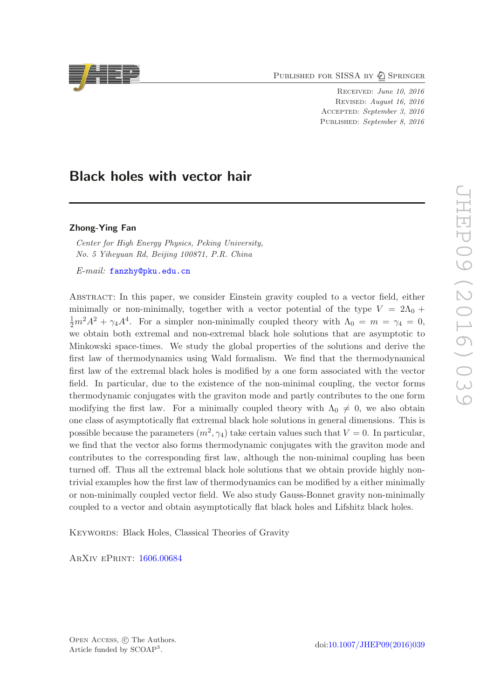PUBLISHED FOR SISSA BY 2 SPRINGER

Received: June 10, 2016 Revised: August 16, 2016 ACCEPTED: September 3, 2016 Published: September 8, 2016

doi[:10.1007/JHEP09\(2016\)039](http://dx.doi.org/10.1007/JHEP09(2016)039)

# Black holes with vector hair

# Zhong-Ying Fan

*Center for High Energy Physics, Peking University, No. 5 Yiheyuan Rd, Beijing 100871, P.R. China*

*E-mail:* [fanzhy@pku.edu.cn](mailto:fanzhy@pku.edu.cn)

Abstract: In this paper, we consider Einstein gravity coupled to a vector field, either minimally or non-minimally, together with a vector potential of the type  $V = 2\Lambda_0 +$  $\frac{1}{2}m^2A^2 + \gamma_4A^4$ . For a simpler non-minimally coupled theory with  $\Lambda_0 = m = \gamma_4 = 0$ , we obtain both extremal and non-extremal black hole solutions that are asymptotic to Minkowski space-times. We study the global properties of the solutions and derive the first law of thermodynamics using Wald formalism. We find that the thermodynamical first law of the extremal black holes is modified by a one form associated with the vector field. In particular, due to the existence of the non-minimal coupling, the vector forms thermodynamic conjugates with the graviton mode and partly contributes to the one form modifying the first law. For a minimally coupled theory with  $\Lambda_0 \neq 0$ , we also obtain one class of asymptotically flat extremal black hole solutions in general dimensions. This is possible because the parameters  $(m^2, \gamma_4)$  take certain values such that  $V = 0$ . In particular, we find that the vector also forms thermodynamic conjugates with the graviton mode and contributes to the corresponding first law, although the non-minimal coupling has been turned off. Thus all the extremal black hole solutions that we obtain provide highly nontrivial examples how the first law of thermodynamics can be modified by a either minimally or non-minimally coupled vector field. We also study Gauss-Bonnet gravity non-minimally coupled to a vector and obtain asymptotically flat black holes and Lifshitz black holes.

Keywords: Black Holes, Classical Theories of Gravity

ArXiv ePrint: [1606.00684](http://arxiv.org/abs/1606.00684)

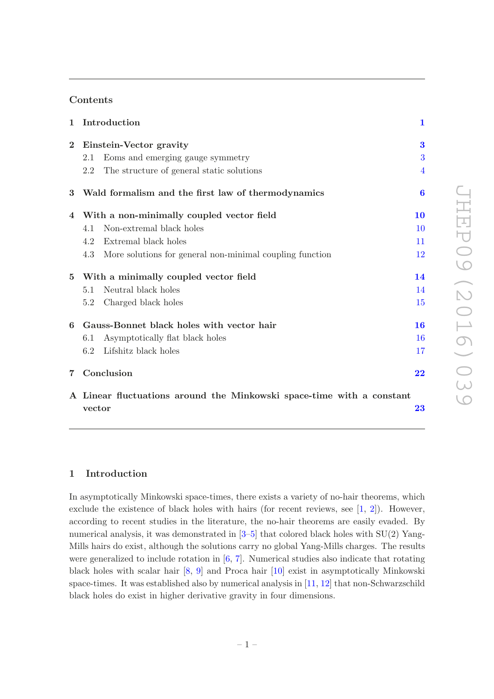# Contents

| $\mathbf{1}$    | Introduction                                                          | $\mathbf{1}$ |
|-----------------|-----------------------------------------------------------------------|--------------|
| $\bf{2}$        | Einstein-Vector gravity                                               | 3            |
|                 | Eoms and emerging gauge symmetry<br>2.1                               | 3            |
|                 | The structure of general static solutions<br>2.2                      | 4            |
| 3               | Wald formalism and the first law of thermodynamics                    | $\bf{6}$     |
| 4               | With a non-minimally coupled vector field                             | 10           |
|                 | Non-extremal black holes<br>4.1                                       | 10           |
|                 | Extremal black holes<br>4.2                                           | 11           |
|                 | More solutions for general non-minimal coupling function<br>4.3       | 12           |
| $5\phantom{.0}$ | With a minimally coupled vector field                                 | 14           |
|                 | Neutral black holes<br>5.1                                            | 14           |
|                 | Charged black holes<br>5.2                                            | 15           |
| 6               | Gauss-Bonnet black holes with vector hair                             | 16           |
|                 | Asymptotically flat black holes<br>6.1                                | 16           |
|                 | Lifshitz black holes<br>6.2                                           | 17           |
| $\overline{7}$  | Conclusion                                                            | 22           |
|                 | A Linear fluctuations around the Minkowski space-time with a constant |              |
|                 | vector                                                                | 23           |

# <span id="page-1-0"></span>1 Introduction

In asymptotically Minkowski space-times, there exists a variety of no-hair theorems, which exclude the existence of black holes with hairs (for recent reviews, see  $[1, 2]$  $[1, 2]$  $[1, 2]$ ). However, according to recent studies in the literature, the no-hair theorems are easily evaded. By numerical analysis, it was demonstrated in [\[3](#page-24-2)[–5](#page-24-3)] that colored black holes with SU(2) Yang-Mills hairs do exist, although the solutions carry no global Yang-Mills charges. The results were generalized to include rotation in [\[6](#page-24-4), [7\]](#page-24-5). Numerical studies also indicate that rotating black holes with scalar hair [\[8](#page-24-6), [9\]](#page-24-7) and Proca hair [\[10](#page-24-8)] exist in asymptotically Minkowski space-times. It was established also by numerical analysis in [\[11](#page-24-9), [12\]](#page-24-10) that non-Schwarzschild black holes do exist in higher derivative gravity in four dimensions.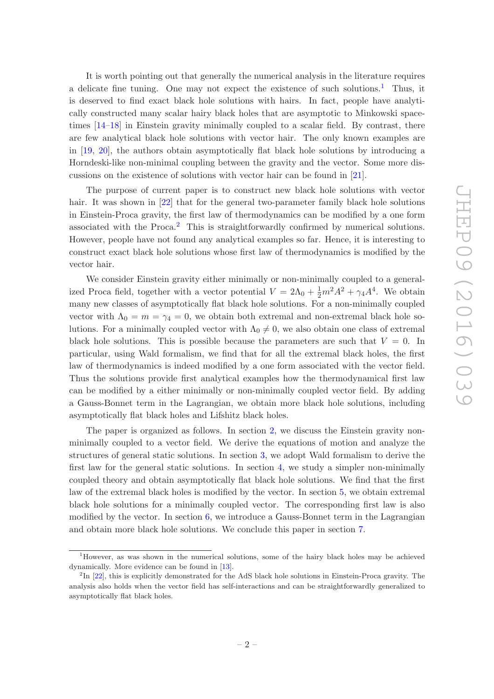It is worth pointing out that generally the numerical analysis in the literature requires a delicate fine tuning. One may not expect the existence of such solutions.<sup>[1](#page-2-0)</sup> Thus, it is deserved to find exact black hole solutions with hairs. In fact, people have analytically constructed many scalar hairy black holes that are asymptotic to Minkowski spacetimes [\[14](#page-24-11)[–18\]](#page-25-0) in Einstein gravity minimally coupled to a scalar field. By contrast, there are few analytical black hole solutions with vector hair. The only known examples are in [\[19](#page-25-1), [20\]](#page-25-2), the authors obtain asymptotically flat black hole solutions by introducing a Horndeski-like non-minimal coupling between the gravity and the vector. Some more discussions on the existence of solutions with vector hair can be found in [\[21\]](#page-25-3).

The purpose of current paper is to construct new black hole solutions with vector hair. It was shown in [\[22](#page-25-4)] that for the general two-parameter family black hole solutions in Einstein-Proca gravity, the first law of thermodynamics can be modified by a one form associated with the Proca.[2](#page-2-1) This is straightforwardly confirmed by numerical solutions. However, people have not found any analytical examples so far. Hence, it is interesting to construct exact black hole solutions whose first law of thermodynamics is modified by the vector hair.

We consider Einstein gravity either minimally or non-minimally coupled to a generalized Proca field, together with a vector potential  $V = 2\Lambda_0 + \frac{1}{2}m^2A^2 + \gamma_4A^4$ . We obtain many new classes of asymptotically flat black hole solutions. For a non-minimally coupled vector with  $\Lambda_0 = m = \gamma_4 = 0$ , we obtain both extremal and non-extremal black hole solutions. For a minimally coupled vector with  $\Lambda_0 \neq 0$ , we also obtain one class of extremal black hole solutions. This is possible because the parameters are such that  $V = 0$ . In particular, using Wald formalism, we find that for all the extremal black holes, the first law of thermodynamics is indeed modified by a one form associated with the vector field. Thus the solutions provide first analytical examples how the thermodynamical first law can be modified by a either minimally or non-minimally coupled vector field. By adding a Gauss-Bonnet term in the Lagrangian, we obtain more black hole solutions, including asymptotically flat black holes and Lifshitz black holes.

The paper is organized as follows. In section [2,](#page-3-0) we discuss the Einstein gravity nonminimally coupled to a vector field. We derive the equations of motion and analyze the structures of general static solutions. In section [3,](#page-6-0) we adopt Wald formalism to derive the first law for the general static solutions. In section [4,](#page-10-0) we study a simpler non-minimally coupled theory and obtain asymptotically flat black hole solutions. We find that the first law of the extremal black holes is modified by the vector. In section [5,](#page-14-0) we obtain extremal black hole solutions for a minimally coupled vector. The corresponding first law is also modified by the vector. In section  $6$ , we introduce a Gauss-Bonnet term in the Lagrangian and obtain more black hole solutions. We conclude this paper in section [7.](#page-22-0)

<span id="page-2-0"></span><sup>1</sup>However, as was shown in the numerical solutions, some of the hairy black holes may be achieved dynamically. More evidence can be found in [\[13\]](#page-24-12).

<span id="page-2-1"></span> ${}^{2}\text{In}$  [\[22](#page-25-4)], this is explicitly demonstrated for the AdS black hole solutions in Einstein-Proca gravity. The analysis also holds when the vector field has self-interactions and can be straightforwardly generalized to asymptotically flat black holes.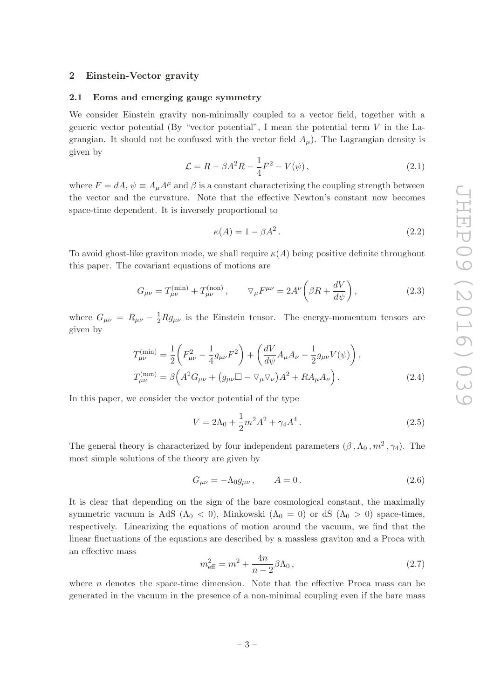# <span id="page-3-1"></span><span id="page-3-0"></span>2 Einstein-Vector gravity

# 2.1 Eoms and emerging gauge symmetry

We consider Einstein gravity non-minimally coupled to a vector field, together with a generic vector potential (By "vector potential", I mean the potential term  $V$  in the Lagrangian. It should not be confused with the vector field  $A_\mu$ ). The Lagrangian density is given by

<span id="page-3-4"></span>
$$
\mathcal{L} = R - \beta A^2 R - \frac{1}{4} F^2 - V(\psi) \,, \tag{2.1}
$$

where  $F = dA$ ,  $\psi \equiv A_{\mu}A^{\mu}$  and  $\beta$  is a constant characterizing the coupling strength between the vector and the curvature. Note that the effective Newton's constant now becomes space-time dependent. It is inversely proportional to

$$
\kappa(A) = 1 - \beta A^2. \tag{2.2}
$$

To avoid ghost-like graviton mode, we shall require  $\kappa(A)$  being positive definite throughout this paper. The covariant equations of motions are

<span id="page-3-2"></span>
$$
G_{\mu\nu} = T_{\mu\nu}^{(\text{min})} + T_{\mu\nu}^{(\text{non})}, \qquad \nabla_{\mu} F^{\mu\nu} = 2A^{\nu} \left( \beta R + \frac{dV}{d\psi} \right), \tag{2.3}
$$

where  $G_{\mu\nu} = R_{\mu\nu} - \frac{1}{2} R g_{\mu\nu}$  is the Einstein tensor. The energy-momentum tensors are given by

$$
T_{\mu\nu}^{(\min)} = \frac{1}{2} \left( F_{\mu\nu}^2 - \frac{1}{4} g_{\mu\nu} F^2 \right) + \left( \frac{dV}{d\psi} A_{\mu} A_{\nu} - \frac{1}{2} g_{\mu\nu} V(\psi) \right),
$$
  
\n
$$
T_{\mu\nu}^{(\text{non})} = \beta \left( A^2 G_{\mu\nu} + (g_{\mu\nu} \Box - \nabla_{\mu} \nabla_{\nu}) A^2 + R A_{\mu} A_{\nu} \right).
$$
\n(2.4)

In this paper, we consider the vector potential of the type

<span id="page-3-5"></span><span id="page-3-3"></span>
$$
V = 2\Lambda_0 + \frac{1}{2}m^2A^2 + \gamma_4A^4.
$$
 (2.5)

The general theory is characterized by four independent parameters  $(\beta, \Lambda_0, m^2, \gamma_4)$ . The most simple solutions of the theory are given by

$$
G_{\mu\nu} = -\Lambda_0 g_{\mu\nu}, \qquad A = 0. \tag{2.6}
$$

It is clear that depending on the sign of the bare cosmological constant, the maximally symmetric vacuum is AdS ( $\Lambda_0 < 0$ ), Minkowski ( $\Lambda_0 = 0$ ) or dS ( $\Lambda_0 > 0$ ) space-times, respectively. Linearizing the equations of motion around the vacuum, we find that the linear fluctuations of the equations are described by a massless graviton and a Proca with an effective mass

$$
m_{\text{eff}}^2 = m^2 + \frac{4n}{n-2} \beta \Lambda_0 \,, \tag{2.7}
$$

where  $n$  denotes the space-time dimension. Note that the effective Proca mass can be generated in the vacuum in the presence of a non-minimal coupling even if the bare mass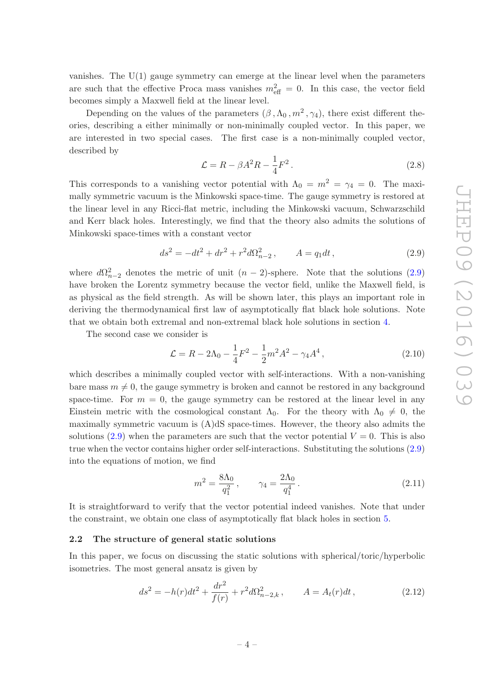vanishes. The U(1) gauge symmetry can emerge at the linear level when the parameters are such that the effective Proca mass vanishes  $m_{\text{eff}}^2 = 0$ . In this case, the vector field becomes simply a Maxwell field at the linear level.

Depending on the values of the parameters  $(\beta, \Lambda_0, m^2, \gamma_4)$ , there exist different theories, describing a either minimally or non-minimally coupled vector. In this paper, we are interested in two special cases. The first case is a non-minimally coupled vector, described by

<span id="page-4-2"></span>
$$
\mathcal{L} = R - \beta A^2 R - \frac{1}{4} F^2. \qquad (2.8)
$$

This corresponds to a vanishing vector potential with  $\Lambda_0 = m^2 = \gamma_4 = 0$ . The maximally symmetric vacuum is the Minkowski space-time. The gauge symmetry is restored at the linear level in any Ricci-flat metric, including the Minkowski vacuum, Schwarzschild and Kerr black holes. Interestingly, we find that the theory also admits the solutions of Minkowski space-times with a constant vector

<span id="page-4-1"></span>
$$
ds^{2} = -dt^{2} + dr^{2} + r^{2}d\Omega_{n-2}^{2}, \qquad A = q_{1}dt, \qquad (2.9)
$$

where  $d\Omega_{n-2}^2$  denotes the metric of unit  $(n-2)$ -sphere. Note that the solutions  $(2.9)$ have broken the Lorentz symmetry because the vector field, unlike the Maxwell field, is as physical as the field strength. As will be shown later, this plays an important role in deriving the thermodynamical first law of asymptotically flat black hole solutions. Note that we obtain both extremal and non-extremal black hole solutions in section [4.](#page-10-0)

The second case we consider is

<span id="page-4-3"></span>
$$
\mathcal{L} = R - 2\Lambda_0 - \frac{1}{4}F^2 - \frac{1}{2}m^2A^2 - \gamma_4A^4, \qquad (2.10)
$$

which describes a minimally coupled vector with self-interactions. With a non-vanishing bare mass  $m \neq 0$ , the gauge symmetry is broken and cannot be restored in any background space-time. For  $m = 0$ , the gauge symmetry can be restored at the linear level in any Einstein metric with the cosmological constant  $\Lambda_0$ . For the theory with  $\Lambda_0 \neq 0$ , the maximally symmetric vacuum is  $(A)dS$  space-times. However, the theory also admits the solutions [\(2.9\)](#page-4-1) when the parameters are such that the vector potential  $V = 0$ . This is also true when the vector contains higher order self-interactions. Substituting the solutions [\(2.9\)](#page-4-1) into the equations of motion, we find

<span id="page-4-4"></span>
$$
m^2 = \frac{8\Lambda_0}{q_1^2} \,, \qquad \gamma_4 = \frac{2\Lambda_0}{q_1^4} \,. \tag{2.11}
$$

It is straightforward to verify that the vector potential indeed vanishes. Note that under the constraint, we obtain one class of asymptotically flat black holes in section [5.](#page-14-0)

# <span id="page-4-0"></span>2.2 The structure of general static solutions

In this paper, we focus on discussing the static solutions with spherical/toric/hyperbolic isometries. The most general ansatz is given by

<span id="page-4-5"></span>
$$
ds^{2} = -h(r)dt^{2} + \frac{dr^{2}}{f(r)} + r^{2}d\Omega_{n-2,k}^{2}, \qquad A = A_{t}(r)dt, \qquad (2.12)
$$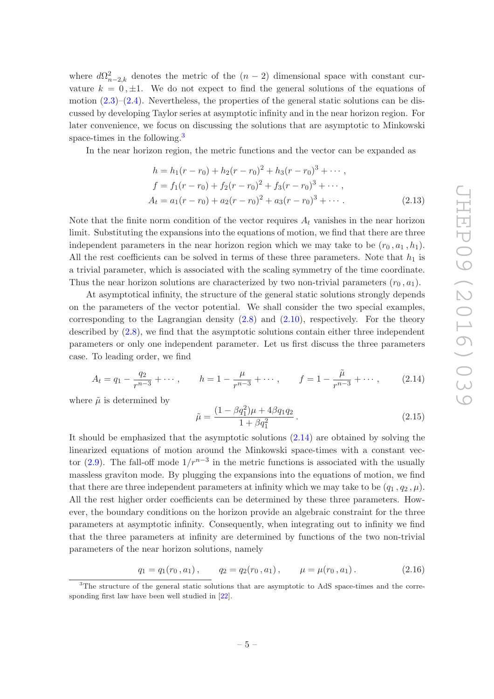where  $d\Omega_{n-2,k}^2$  denotes the metric of the  $(n-2)$  dimensional space with constant curvature  $k = 0, \pm 1$ . We do not expect to find the general solutions of the equations of motion  $(2.3)$ – $(2.4)$ . Nevertheless, the properties of the general static solutions can be discussed by developing Taylor series at asymptotic infinity and in the near horizon region. For later convenience, we focus on discussing the solutions that are asymptotic to Minkowski space-times in the following.<sup>[3](#page-5-0)</sup>

In the near horizon region, the metric functions and the vector can be expanded as

<span id="page-5-2"></span>
$$
h = h_1(r - r_0) + h_2(r - r_0)^2 + h_3(r - r_0)^3 + \cdots,
$$
  
\n
$$
f = f_1(r - r_0) + f_2(r - r_0)^2 + f_3(r - r_0)^3 + \cdots,
$$
  
\n
$$
A_t = a_1(r - r_0) + a_2(r - r_0)^2 + a_3(r - r_0)^3 + \cdots.
$$
\n(2.13)

Note that the finite norm condition of the vector requires  $A_t$  vanishes in the near horizon limit. Substituting the expansions into the equations of motion, we find that there are three independent parameters in the near horizon region which we may take to be  $(r_0, a_1, h_1)$ . All the rest coefficients can be solved in terms of these three parameters. Note that  $h_1$  is a trivial parameter, which is associated with the scaling symmetry of the time coordinate. Thus the near horizon solutions are characterized by two non-trivial parameters  $(r_0, a_1)$ .

At asymptotical infinity, the structure of the general static solutions strongly depends on the parameters of the vector potential. We shall consider the two special examples, corresponding to the Lagrangian density  $(2.8)$  and  $(2.10)$ , respectively. For the theory described by [\(2.8\)](#page-4-2), we find that the asymptotic solutions contain either three independent parameters or only one independent parameter. Let us first discuss the three parameters case. To leading order, we find

<span id="page-5-1"></span>
$$
A_t = q_1 - \frac{q_2}{r^{n-3}} + \cdots, \qquad h = 1 - \frac{\mu}{r^{n-3}} + \cdots, \qquad f = 1 - \frac{\tilde{\mu}}{r^{n-3}} + \cdots, \qquad (2.14)
$$

where  $\tilde{\mu}$  is determined by

$$
\tilde{\mu} = \frac{(1 - \beta q_1^2)\mu + 4\beta q_1 q_2}{1 + \beta q_1^2} \,. \tag{2.15}
$$

It should be emphasized that the asymptotic solutions [\(2.14\)](#page-5-1) are obtained by solving the linearized equations of motion around the Minkowski space-times with a constant vec-tor [\(2.9\)](#page-4-1). The fall-off mode  $1/r^{n-3}$  in the metric functions is associated with the usually massless graviton mode. By plugging the expansions into the equations of motion, we find that there are three independent parameters at infinity which we may take to be  $(q_1, q_2, \mu)$ . All the rest higher order coefficients can be determined by these three parameters. However, the boundary conditions on the horizon provide an algebraic constraint for the three parameters at asymptotic infinity. Consequently, when integrating out to infinity we find that the three parameters at infinity are determined by functions of the two non-trivial parameters of the near horizon solutions, namely

$$
q_1 = q_1(r_0, a_1), \qquad q_2 = q_2(r_0, a_1), \qquad \mu = \mu(r_0, a_1). \tag{2.16}
$$

<span id="page-5-0"></span><sup>&</sup>lt;sup>3</sup>The structure of the general static solutions that are asymptotic to AdS space-times and the corresponding first law have been well studied in [\[22\]](#page-25-4).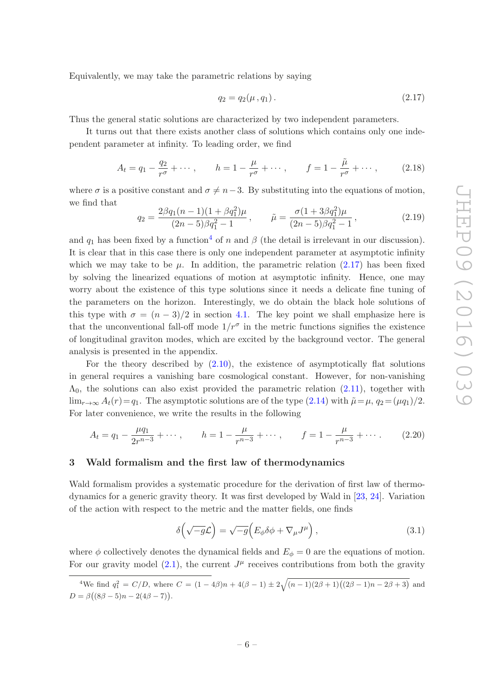Equivalently, we may take the parametric relations by saying

<span id="page-6-2"></span>
$$
q_2 = q_2(\mu, q_1). \tag{2.17}
$$

Thus the general static solutions are characterized by two independent parameters.

It turns out that there exists another class of solutions which contains only one independent parameter at infinity. To leading order, we find

$$
A_t = q_1 - \frac{q_2}{r^{\sigma}} + \dots, \qquad h = 1 - \frac{\mu}{r^{\sigma}} + \dots, \qquad f = 1 - \frac{\tilde{\mu}}{r^{\sigma}} + \dots, \qquad (2.18)
$$

where  $\sigma$  is a positive constant and  $\sigma \neq n-3$ . By substituting into the equations of motion, we find that

<span id="page-6-4"></span>
$$
q_2 = \frac{2\beta q_1 (n-1)(1+\beta q_1^2)\mu}{(2n-5)\beta q_1^2 - 1}, \qquad \tilde{\mu} = \frac{\sigma (1+3\beta q_1^2)\mu}{(2n-5)\beta q_1^2 - 1},
$$
\n(2.19)

and  $q_1$  has been fixed by a function<sup>[4](#page-6-1)</sup> of n and  $\beta$  (the detail is irrelevant in our discussion). It is clear that in this case there is only one independent parameter at asymptotic infinity which we may take to be  $\mu$ . In addition, the parametric relation [\(2.17\)](#page-6-2) has been fixed by solving the linearized equations of motion at asymptotic infinity. Hence, one may worry about the existence of this type solutions since it needs a delicate fine tuning of the parameters on the horizon. Interestingly, we do obtain the black hole solutions of this type with  $\sigma = (n-3)/2$  in section [4.1.](#page-10-1) The key point we shall emphasize here is that the unconventional fall-off mode  $1/r^{\sigma}$  in the metric functions signifies the existence of longitudinal graviton modes, which are excited by the background vector. The general analysis is presented in the appendix.

For the theory described by  $(2.10)$ , the existence of asymptotically flat solutions in general requires a vanishing bare cosmological constant. However, for non-vanishing  $\Lambda_0$ , the solutions can also exist provided the parametric relation [\(2.11\)](#page-4-4), together with lim<sub>r→∞</sub>  $A_t(r) = q_1$ . The asymptotic solutions are of the type [\(2.14\)](#page-5-1) with  $\tilde{\mu} = \mu$ ,  $q_2 = (\mu q_1)/2$ . For later convenience, we write the results in the following

<span id="page-6-3"></span>
$$
A_t = q_1 - \frac{\mu q_1}{2r^{n-3}} + \cdots, \qquad h = 1 - \frac{\mu}{r^{n-3}} + \cdots, \qquad f = 1 - \frac{\mu}{r^{n-3}} + \cdots. \tag{2.20}
$$

# <span id="page-6-0"></span>3 Wald formalism and the first law of thermodynamics

Wald formalism provides a systematic procedure for the derivation of first law of thermodynamics for a generic gravity theory. It was first developed by Wald in [\[23,](#page-25-5) [24\]](#page-25-6). Variation of the action with respect to the metric and the matter fields, one finds

$$
\delta\left(\sqrt{-g}\mathcal{L}\right) = \sqrt{-g}\left(E_{\phi}\delta\phi + \nabla_{\mu}J^{\mu}\right),\tag{3.1}
$$

where  $\phi$  collectively denotes the dynamical fields and  $E_{\phi} = 0$  are the equations of motion. For our gravity model  $(2.1)$ , the current  $J^{\mu}$  receives contributions from both the gravity

<span id="page-6-1"></span><sup>&</sup>lt;sup>4</sup>We find  $q_1^2 = C/D$ , where  $C = (1 - 4\beta)n + 4(\beta - 1) \pm 2\sqrt{(n-1)(2\beta + 1)(2\beta - 1)n - 2\beta + 3)}$  and  $D = \beta((8\beta - 5)n - 2(4\beta - 7)).$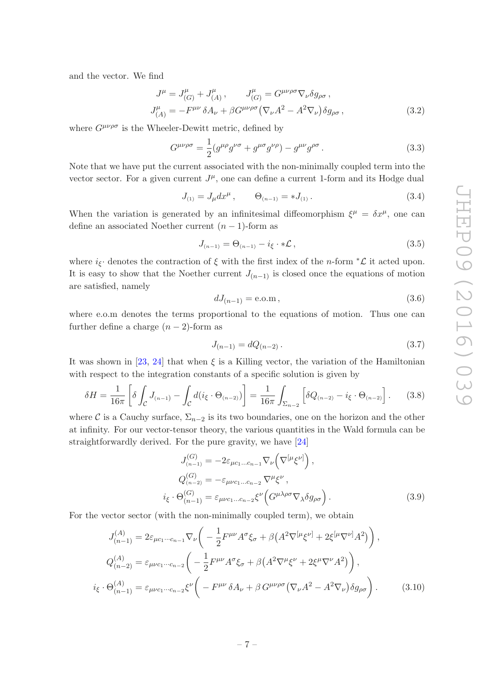and the vector. We find

$$
J^{\mu} = J^{\mu}_{(G)} + J^{\mu}_{(A)}, \qquad J^{\mu}_{(G)} = G^{\mu\nu\rho\sigma} \nabla_{\nu} \delta g_{\rho\sigma} ,
$$
  

$$
J^{\mu}_{(A)} = -F^{\mu\nu} \delta A_{\nu} + \beta G^{\mu\nu\rho\sigma} (\nabla_{\nu} A^2 - A^2 \nabla_{\nu}) \delta g_{\rho\sigma} ,
$$
 (3.2)

where  $G^{\mu\nu\rho\sigma}$  is the Wheeler-Dewitt metric, defined by

$$
G^{\mu\nu\rho\sigma} = \frac{1}{2} (g^{\mu\rho} g^{\nu\sigma} + g^{\mu\sigma} g^{\nu\rho}) - g^{\mu\nu} g^{\rho\sigma}.
$$
 (3.3)

Note that we have put the current associated with the non-minimally coupled term into the vector sector. For a given current  $J^{\mu}$ , one can define a current 1-form and its Hodge dual

$$
J_{(1)} = J_{\mu} dx^{\mu}, \qquad \Theta_{(n-1)} = *J_{(1)}.
$$
 (3.4)

When the variation is generated by an infinitesimal diffeomorphism  $\xi^{\mu} = \delta x^{\mu}$ , one can define an associated Noether current  $(n-1)$ -form as

$$
J_{(n-1)} = \Theta_{(n-1)} - i_{\xi} \cdot * \mathcal{L}, \qquad (3.5)
$$

where  $i_{\xi}$ · denotes the contraction of  $\xi$  with the first index of the *n*-form  $^*$  $\mathcal L$  it acted upon. It is easy to show that the Noether current  $J_{(n-1)}$  is closed once the equations of motion are satisfied, namely

$$
dJ_{(n-1)} = \text{e.o.m} \,,\tag{3.6}
$$

where e.o.m denotes the terms proportional to the equations of motion. Thus one can further define a charge  $(n-2)$ -form as

$$
J_{(n-1)} = dQ_{(n-2)}.
$$
\n(3.7)

It was shown in [\[23,](#page-25-5) [24\]](#page-25-6) that when  $\xi$  is a Killing vector, the variation of the Hamiltonian with respect to the integration constants of a specific solution is given by

$$
\delta H = \frac{1}{16\pi} \left[ \delta \int_{\mathcal{C}} J_{(n-1)} - \int_{\mathcal{C}} d(i_{\xi} \cdot \Theta_{(n-2)}) \right] = \frac{1}{16\pi} \int_{\Sigma_{n-2}} \left[ \delta Q_{(n-2)} - i_{\xi} \cdot \Theta_{(n-2)} \right]. \tag{3.8}
$$

where C is a Cauchy surface,  $\Sigma_{n-2}$  is its two boundaries, one on the horizon and the other at infinity. For our vector-tensor theory, the various quantities in the Wald formula can be straightforwardly derived. For the pure gravity, we have [\[24\]](#page-25-6)

$$
J_{(n-1)}^{(G)} = -2\varepsilon_{\mu c_1 \dots c_{n-1}} \nabla_{\nu} \left( \nabla^{[\mu} \xi^{\nu]} \right),
$$
  
\n
$$
Q_{(n-2)}^{(G)} = -\varepsilon_{\mu\nu c_1 \dots c_{n-2}} \nabla^{\mu} \xi^{\nu},
$$
  
\n
$$
i_{\xi} \cdot \Theta_{(n-1)}^{(G)} = \varepsilon_{\mu\nu c_1 \dots c_{n-2}} \xi^{\nu} \left( G^{\mu\lambda\rho\sigma} \nabla_{\lambda} \delta g_{\rho\sigma} \right).
$$
\n(3.9)

For the vector sector (with the non-minimally coupled term), we obtain

$$
J_{(n-1)}^{(A)} = 2\varepsilon_{\mu c_1 \cdots c_{n-1}} \nabla_{\nu} \left( -\frac{1}{2} F^{\mu \nu} A^{\sigma} \xi_{\sigma} + \beta \left( A^2 \nabla^{[\mu} \xi^{\nu]} + 2 \xi^{[\mu} \nabla^{\nu]} A^2 \right) \right),
$$
  
\n
$$
Q_{(n-2)}^{(A)} = \varepsilon_{\mu \nu c_1 \cdots c_{n-2}} \left( -\frac{1}{2} F^{\mu \nu} A^{\sigma} \xi_{\sigma} + \beta \left( A^2 \nabla^{\mu} \xi^{\nu} + 2 \xi^{\mu} \nabla^{\nu} A^2 \right) \right),
$$
  
\n
$$
i_{\xi} \cdot \Theta_{(n-1)}^{(A)} = \varepsilon_{\mu \nu c_1 \cdots c_{n-2}} \xi^{\nu} \left( -F^{\mu \nu} \delta A_{\nu} + \beta G^{\mu \nu \rho \sigma} \left( \nabla_{\nu} A^2 - A^2 \nabla_{\nu} \right) \delta g_{\rho \sigma} \right).
$$
 (3.10)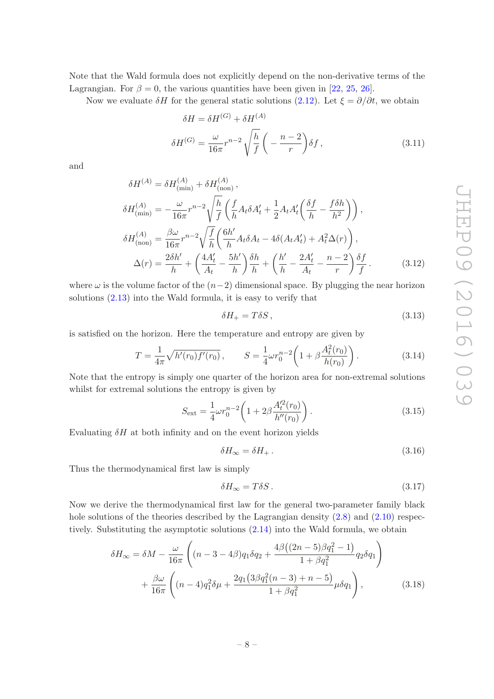Note that the Wald formula does not explicitly depend on the non-derivative terms of the Lagrangian. For  $\beta = 0$ , the various quantities have been given in [\[22](#page-25-4), [25,](#page-25-7) [26](#page-25-8)].

Now we evaluate  $\delta H$  for the general static solutions [\(2.12\)](#page-4-5). Let  $\xi = \partial/\partial t$ , we obtain

<span id="page-8-2"></span>
$$
\delta H = \delta H^{(G)} + \delta H^{(A)}
$$

$$
\delta H^{(G)} = \frac{\omega}{16\pi} r^{n-2} \sqrt{\frac{h}{f}} \left( -\frac{n-2}{r} \right) \delta f,
$$
(3.11)

and

$$
\delta H^{(A)} = \delta H^{(A)}_{(\text{min})} + \delta H^{(A)}_{(\text{non})},
$$
  
\n
$$
\delta H^{(A)}_{(\text{min})} = -\frac{\omega}{16\pi} r^{n-2} \sqrt{\frac{h}{f}} \left( \frac{f}{h} A_t \delta A'_t + \frac{1}{2} A_t A'_t \left( \frac{\delta f}{h} - \frac{f \delta h}{h^2} \right) \right),
$$
  
\n
$$
\delta H^{(A)}_{(\text{non})} = \frac{\beta \omega}{16\pi} r^{n-2} \sqrt{\frac{f}{h}} \left( \frac{6h'}{h} A_t \delta A_t - 4\delta (A_t A'_t) + A_t^2 \Delta(r) \right),
$$
  
\n
$$
\Delta(r) = \frac{2\delta h'}{h} + \left( \frac{4A'_t}{A_t} - \frac{5h'}{h} \right) \frac{\delta h}{h} + \left( \frac{h'}{h} - \frac{2A'_t}{A_t} - \frac{n-2}{r} \right) \frac{\delta f}{f}.
$$
 (3.12)

where  $\omega$  is the volume factor of the  $(n-2)$  dimensional space. By plugging the near horizon solutions [\(2.13\)](#page-5-2) into the Wald formula, it is easy to verify that

<span id="page-8-3"></span>
$$
\delta H_+ = T \delta S \,,\tag{3.13}
$$

is satisfied on the horizon. Here the temperature and entropy are given by

$$
T = \frac{1}{4\pi} \sqrt{h'(r_0)f'(r_0)}, \qquad S = \frac{1}{4}\omega r_0^{n-2} \left(1 + \beta \frac{A_t^2(r_0)}{h(r_0)}\right). \tag{3.14}
$$

Note that the entropy is simply one quarter of the horizon area for non-extremal solutions whilst for extremal solutions the entropy is given by

$$
S_{\text{ext}} = \frac{1}{4} \omega r_0^{n-2} \left( 1 + 2\beta \frac{A_t'^2(r_0)}{h''(r_0)} \right). \tag{3.15}
$$

Evaluating  $\delta H$  at both infinity and on the event horizon yields

$$
\delta H_{\infty} = \delta H_{+} \,. \tag{3.16}
$$

Thus the thermodynamical first law is simply

<span id="page-8-1"></span><span id="page-8-0"></span>
$$
\delta H_{\infty} = T \delta S. \tag{3.17}
$$

Now we derive the thermodynamical first law for the general two-parameter family black hole solutions of the theories described by the Lagrangian density  $(2.8)$  and  $(2.10)$  respectively. Substituting the asymptotic solutions [\(2.14\)](#page-5-1) into the Wald formula, we obtain

$$
\delta H_{\infty} = \delta M - \frac{\omega}{16\pi} \left( (n - 3 - 4\beta) q_1 \delta q_2 + \frac{4\beta ((2n - 5)\beta q_1^2 - 1)}{1 + \beta q_1^2} q_2 \delta q_1 \right) + \frac{\beta \omega}{16\pi} \left( (n - 4) q_1^2 \delta \mu + \frac{2q_1 (3\beta q_1^2 (n - 3) + n - 5)}{1 + \beta q_1^2} \mu \delta q_1 \right),
$$
(3.18)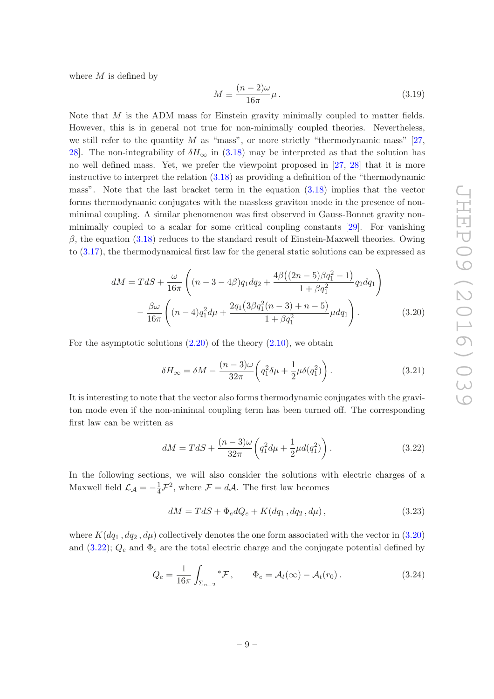where  $M$  is defined by

$$
M \equiv \frac{(n-2)\omega}{16\pi} \mu \,. \tag{3.19}
$$

Note that M is the ADM mass for Einstein gravity minimally coupled to matter fields. However, this is in general not true for non-minimally coupled theories. Nevertheless, we still refer to the quantity  $M$  as "mass", or more strictly "thermodynamic mass" [\[27,](#page-25-9) [28](#page-25-10)]. The non-integrability of  $\delta H_{\infty}$  in [\(3.18\)](#page-8-0) may be interpreted as that the solution has no well defined mass. Yet, we prefer the viewpoint proposed in [\[27,](#page-25-9) [28](#page-25-10)] that it is more instructive to interpret the relation [\(3.18\)](#page-8-0) as providing a definition of the "thermodynamic mass". Note that the last bracket term in the equation [\(3.18\)](#page-8-0) implies that the vector forms thermodynamic conjugates with the massless graviton mode in the presence of nonminimal coupling. A similar phenomenon was first observed in Gauss-Bonnet gravity nonminimally coupled to a scalar for some critical coupling constants [\[29](#page-25-11)]. For vanishing  $β$ , the equation [\(3.18\)](#page-8-0) reduces to the standard result of Einstein-Maxwell theories. Owing to [\(3.17\)](#page-8-1), the thermodynamical first law for the general static solutions can be expressed as

$$
dM = TdS + \frac{\omega}{16\pi} \left( (n - 3 - 4\beta) q_1 dq_2 + \frac{4\beta ((2n - 5)\beta q_1^2 - 1)}{1 + \beta q_1^2} q_2 dq_1 \right) - \frac{\beta \omega}{16\pi} \left( (n - 4) q_1^2 d\mu + \frac{2q_1 (3\beta q_1^2 (n - 3) + n - 5)}{1 + \beta q_1^2} \mu dq_1 \right).
$$
(3.20)

For the asymptotic solutions  $(2.20)$  of the theory  $(2.10)$ , we obtain

<span id="page-9-0"></span>
$$
\delta H_{\infty} = \delta M - \frac{(n-3)\omega}{32\pi} \left( q_1^2 \delta \mu + \frac{1}{2} \mu \delta(q_1^2) \right). \tag{3.21}
$$

It is interesting to note that the vector also forms thermodynamic conjugates with the graviton mode even if the non-minimal coupling term has been turned off. The corresponding first law can be written as

<span id="page-9-1"></span>
$$
dM = TdS + \frac{(n-3)\omega}{32\pi} \left( q_1^2 d\mu + \frac{1}{2}\mu d(q_1^2) \right).
$$
 (3.22)

In the following sections, we will also consider the solutions with electric charges of a Maxwell field  $\mathcal{L}_{\mathcal{A}} = -\frac{1}{4}\mathcal{F}^2$ , where  $\mathcal{F} = d\mathcal{A}$ . The first law becomes

$$
dM = TdS + \Phi_e dQ_e + K(dq_1, dq_2, d\mu), \qquad (3.23)
$$

where  $K(dq_1, dq_2, d\mu)$  collectively denotes the one form associated with the vector in [\(3.20\)](#page-9-0) and  $(3.22)$ ;  $Q_e$  and  $\Phi_e$  are the total electric charge and the conjugate potential defined by

<span id="page-9-2"></span>
$$
Q_e = \frac{1}{16\pi} \int_{\Sigma_{n-2}} \mathbf{F} \mathbf{F}, \qquad \Phi_e = \mathcal{A}_t(\infty) - \mathcal{A}_t(r_0). \tag{3.24}
$$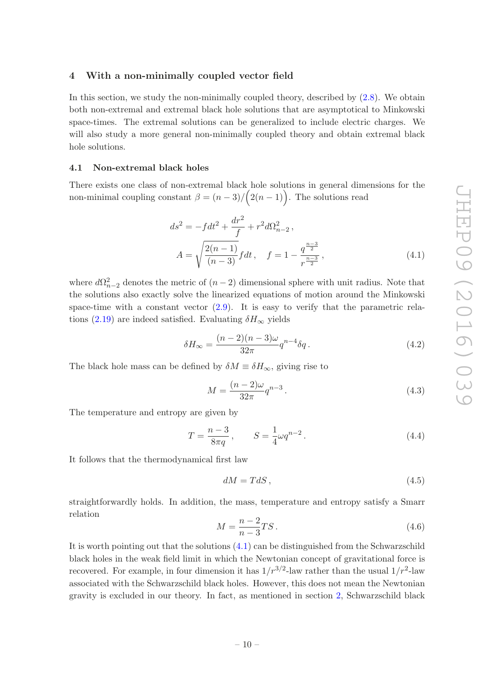# <span id="page-10-0"></span>4 With a non-minimally coupled vector field

In this section, we study the non-minimally coupled theory, described by  $(2.8)$ . We obtain both non-extremal and extremal black hole solutions that are asymptotical to Minkowski space-times. The extremal solutions can be generalized to include electric charges. We will also study a more general non-minimally coupled theory and obtain extremal black hole solutions.

# <span id="page-10-1"></span>4.1 Non-extremal black holes

There exists one class of non-extremal black hole solutions in general dimensions for the non-minimal coupling constant  $\beta = (n-3)/(2(n-1))$ . The solutions read

<span id="page-10-2"></span>
$$
ds^{2} = -fdt^{2} + \frac{dr^{2}}{f} + r^{2}d\Omega_{n-2}^{2},
$$
  

$$
A = \sqrt{\frac{2(n-1)}{(n-3)}}fdt, \quad f = 1 - \frac{q^{\frac{n-3}{2}}}{r^{\frac{n-3}{2}}},
$$
(4.1)

where  $d\Omega_{n-2}^2$  denotes the metric of  $(n-2)$  dimensional sphere with unit radius. Note that the solutions also exactly solve the linearized equations of motion around the Minkowski space-time with a constant vector  $(2.9)$ . It is easy to verify that the parametric rela-tions [\(2.19\)](#page-6-4) are indeed satisfied. Evaluating  $\delta H_{\infty}$  yields

$$
\delta H_{\infty} = \frac{(n-2)(n-3)\omega}{32\pi} q^{n-4} \delta q \,. \tag{4.2}
$$

The black hole mass can be defined by  $\delta M \equiv \delta H_{\infty}$ , giving rise to

$$
M = \frac{(n-2)\omega}{32\pi} q^{n-3}.
$$
\n(4.3)

The temperature and entropy are given by

$$
T = \frac{n-3}{8\pi q}, \qquad S = \frac{1}{4}\omega q^{n-2}.
$$
 (4.4)

It follows that the thermodynamical first law

$$
dM = TdS, \t\t(4.5)
$$

straightforwardly holds. In addition, the mass, temperature and entropy satisfy a Smarr relation

$$
M = \frac{n-2}{n-3}TS.\tag{4.6}
$$

It is worth pointing out that the solutions [\(4.1\)](#page-10-2) can be distinguished from the Schwarzschild black holes in the weak field limit in which the Newtonian concept of gravitational force is recovered. For example, in four dimension it has  $1/r^{3/2}$ -law rather than the usual  $1/r^2$ -law associated with the Schwarzschild black holes. However, this does not mean the Newtonian gravity is excluded in our theory. In fact, as mentioned in section [2,](#page-3-0) Schwarzschild black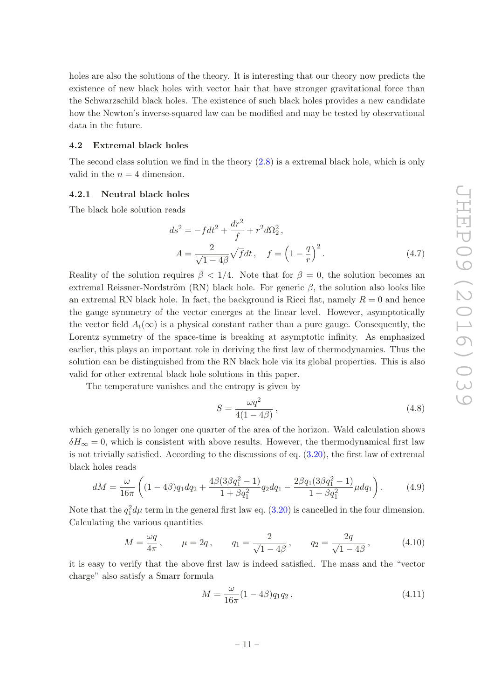holes are also the solutions of the theory. It is interesting that our theory now predicts the existence of new black holes with vector hair that have stronger gravitational force than the Schwarzschild black holes. The existence of such black holes provides a new candidate how the Newton's inverse-squared law can be modified and may be tested by observational data in the future.

### <span id="page-11-0"></span>4.2 Extremal black holes

The second class solution we find in the theory  $(2.8)$  is a extremal black hole, which is only valid in the  $n = 4$  dimension.

# 4.2.1 Neutral black holes

The black hole solution reads

<span id="page-11-1"></span>
$$
ds^{2} = -f dt^{2} + \frac{dr^{2}}{f} + r^{2} d\Omega_{2}^{2},
$$
  
\n
$$
A = \frac{2}{\sqrt{1 - 4\beta}} \sqrt{f} dt, \quad f = \left(1 - \frac{q}{r}\right)^{2}.
$$
\n(4.7)

Reality of the solution requires  $\beta < 1/4$ . Note that for  $\beta = 0$ , the solution becomes an extremal Reissner-Nordström (RN) black hole. For generic  $\beta$ , the solution also looks like an extremal RN black hole. In fact, the background is Ricci flat, namely  $R = 0$  and hence the gauge symmetry of the vector emerges at the linear level. However, asymptotically the vector field  $A_t(\infty)$  is a physical constant rather than a pure gauge. Consequently, the Lorentz symmetry of the space-time is breaking at asymptotic infinity. As emphasized earlier, this plays an important role in deriving the first law of thermodynamics. Thus the solution can be distinguished from the RN black hole via its global properties. This is also valid for other extremal black hole solutions in this paper.

The temperature vanishes and the entropy is given by

$$
S = \frac{\omega q^2}{4(1 - 4\beta)},\tag{4.8}
$$

which generally is no longer one quarter of the area of the horizon. Wald calculation shows  $\delta H_{\infty} = 0$ , which is consistent with above results. However, the thermodynamical first law is not trivially satisfied. According to the discussions of eq.  $(3.20)$ , the first law of extremal black holes reads

$$
dM = \frac{\omega}{16\pi} \left( (1 - 4\beta) q_1 dq_2 + \frac{4\beta (3\beta q_1^2 - 1)}{1 + \beta q_1^2} q_2 dq_1 - \frac{2\beta q_1 (3\beta q_1^2 - 1)}{1 + \beta q_1^2} \mu dq_1 \right). \tag{4.9}
$$

Note that the  $q_1^2 d\mu$  term in the general first law eq. [\(3.20\)](#page-9-0) is cancelled in the four dimension. Calculating the various quantities

$$
M = \frac{\omega q}{4\pi}, \qquad \mu = 2q, \qquad q_1 = \frac{2}{\sqrt{1 - 4\beta}}, \qquad q_2 = \frac{2q}{\sqrt{1 - 4\beta}}, \qquad (4.10)
$$

it is easy to verify that the above first law is indeed satisfied. The mass and the "vector charge" also satisfy a Smarr formula

$$
M = \frac{\omega}{16\pi} (1 - 4\beta) q_1 q_2.
$$
 (4.11)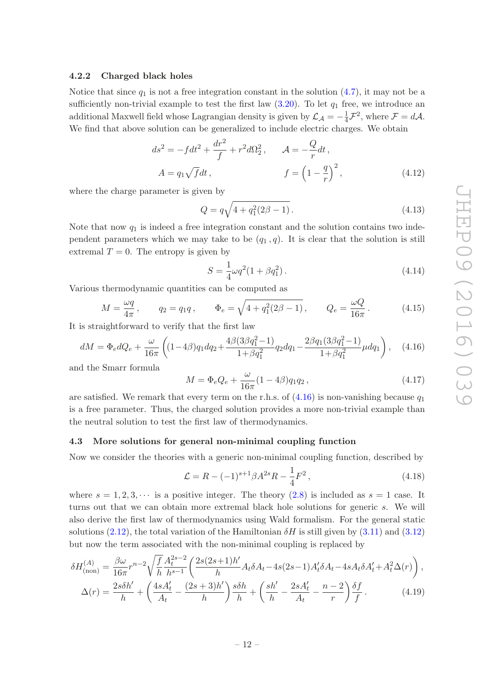# 4.2.2 Charged black holes

Notice that since  $q_1$  is not a free integration constant in the solution  $(4.7)$ , it may not be a sufficiently non-trivial example to test the first law  $(3.20)$ . To let  $q_1$  free, we introduce an additional Maxwell field whose Lagrangian density is given by  $\mathcal{L}_{\mathcal{A}} = -\frac{1}{4}\mathcal{F}^2$ , where  $\mathcal{F} = d\mathcal{A}$ . We find that above solution can be generalized to include electric charges. We obtain

$$
ds^{2} = -fdt^{2} + \frac{dr^{2}}{f} + r^{2}d\Omega_{2}^{2}, \qquad \mathcal{A} = -\frac{Q}{r}dt,
$$
  

$$
A = q_{1}\sqrt{f}dt, \qquad f = \left(1 - \frac{q}{r}\right)^{2}, \qquad (4.12)
$$

where the charge parameter is given by

$$
Q = q\sqrt{4 + q_1^2(2\beta - 1)}.
$$
\n(4.13)

Note that now  $q_1$  is indeed a free integration constant and the solution contains two independent parameters which we may take to be  $(q_1, q)$ . It is clear that the solution is still extremal  $T = 0$ . The entropy is given by

$$
S = \frac{1}{4}\omega q^2 (1 + \beta q_1^2). \tag{4.14}
$$

Various thermodynamic quantities can be computed as

$$
M = \frac{\omega q}{4\pi}, \qquad q_2 = q_1 q, \qquad \Phi_e = \sqrt{4 + q_1^2 (2\beta - 1)}, \qquad Q_e = \frac{\omega Q}{16\pi}.
$$
 (4.15)

It is straightforward to verify that the first law

<span id="page-12-1"></span>
$$
dM = \Phi_e dQ_e + \frac{\omega}{16\pi} \left( (1 - 4\beta) q_1 dq_2 + \frac{4\beta (3\beta q_1^2 - 1)}{1 + \beta q_1^2} q_2 dq_1 - \frac{2\beta q_1 (3\beta q_1^2 - 1)}{1 + \beta q_1^2} \mu dq_1 \right), \quad (4.16)
$$

and the Smarr formula

$$
M = \Phi_e Q_e + \frac{\omega}{16\pi} (1 - 4\beta) q_1 q_2 , \qquad (4.17)
$$

are satisfied. We remark that every term on the r.h.s. of  $(4.16)$  is non-vanishing because  $q_1$ is a free parameter. Thus, the charged solution provides a more non-trivial example than the neutral solution to test the first law of thermodynamics.

#### <span id="page-12-0"></span>4.3 More solutions for general non-minimal coupling function

Now we consider the theories with a generic non-minimal coupling function, described by

$$
\mathcal{L} = R - (-1)^{s+1} \beta A^{2s} R - \frac{1}{4} F^2, \qquad (4.18)
$$

where  $s = 1, 2, 3, \cdots$  is a positive integer. The theory [\(2.8\)](#page-4-2) is included as  $s = 1$  case. It turns out that we can obtain more extremal black hole solutions for generic s. We will also derive the first law of thermodynamics using Wald formalism. For the general static solutions [\(2.12\)](#page-4-5), the total variation of the Hamiltonian  $\delta H$  is still given by [\(3.11\)](#page-8-2) and [\(3.12\)](#page-8-3) but now the term associated with the non-minimal coupling is replaced by

$$
\delta H_{(\text{non})}^{(A)} = \frac{\beta \omega}{16\pi} r^{n-2} \sqrt{\frac{f}{h}} \frac{A_t^{2s-2}}{h^{-1}} \left( \frac{2s(2s+1)h'}{h} A_t \delta A_t - 4s(2s-1) A_t' \delta A_t - 4s A_t \delta A_t' + A_t^2 \Delta(r) \right),
$$
  

$$
\Delta(r) = \frac{2s\delta h'}{h} + \left( \frac{4sA_t'}{A_t} - \frac{(2s+3)h'}{h} \right) \frac{s\delta h}{h} + \left( \frac{sh'}{h} - \frac{2sA_t'}{A_t} - \frac{n-2}{r} \right) \frac{\delta f}{f}.
$$
 (4.19)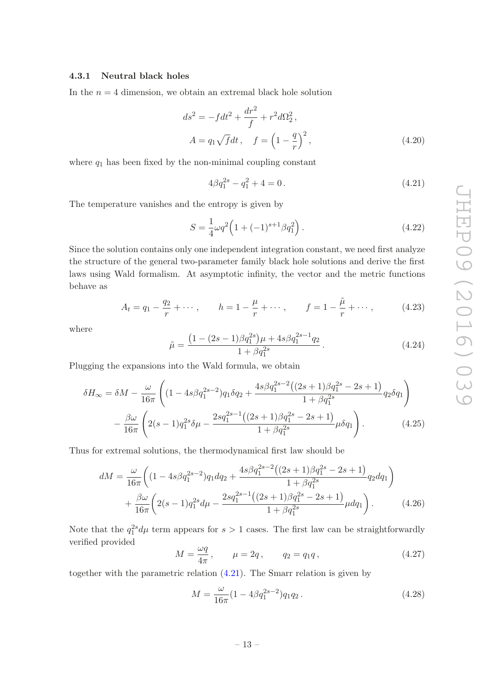# 4.3.1 Neutral black holes

In the  $n = 4$  dimension, we obtain an extremal black hole solution

$$
ds^{2} = -fdt^{2} + \frac{dr^{2}}{f} + r^{2}d\Omega_{2}^{2},
$$
  
\n
$$
A = q_{1}\sqrt{f}dt, \quad f = \left(1 - \frac{q}{r}\right)^{2},
$$
\n(4.20)

where  $q_1$  has been fixed by the non-minimal coupling constant

<span id="page-13-1"></span><span id="page-13-0"></span>
$$
4\beta q_1^{2s} - q_1^2 + 4 = 0.
$$
\n(4.21)

The temperature vanishes and the entropy is given by

<span id="page-13-2"></span>
$$
S = \frac{1}{4}\omega q^2 \left(1 + (-1)^{s+1}\beta q_1^2\right). \tag{4.22}
$$

Since the solution contains only one independent integration constant, we need first analyze the structure of the general two-parameter family black hole solutions and derive the first laws using Wald formalism. At asymptotic infinity, the vector and the metric functions behave as

$$
A_t = q_1 - \frac{q_2}{r} + \dots, \qquad h = 1 - \frac{\mu}{r} + \dots, \qquad f = 1 - \frac{\tilde{\mu}}{r} + \dots, \qquad (4.23)
$$

where

$$
\tilde{\mu} = \frac{\left(1 - (2s - 1)\beta q_1^{2s}\right)\mu + 4s\beta q_1^{2s - 1}q_2}{1 + \beta q_1^{2s}}.
$$
\n(4.24)

Plugging the expansions into the Wald formula, we obtain

$$
\delta H_{\infty} = \delta M - \frac{\omega}{16\pi} \left( (1 - 4s\beta q_1^{2s-2}) q_1 \delta q_2 + \frac{4s\beta q_1^{2s-2} \left( (2s+1)\beta q_1^{2s} - 2s + 1 \right)}{1 + \beta q_1^{2s}} q_2 \delta q_1 \right) - \frac{\beta \omega}{16\pi} \left( 2(s-1) q_1^{2s} \delta \mu - \frac{2s q_1^{2s-1} \left( (2s+1)\beta q_1^{2s} - 2s + 1 \right)}{1 + \beta q_1^{2s}} \mu \delta q_1 \right). \tag{4.25}
$$

Thus for extremal solutions, the thermodynamical first law should be

$$
dM = \frac{\omega}{16\pi} \left( (1 - 4s\beta q_1^{2s-2}) q_1 dq_2 + \frac{4s\beta q_1^{2s-2} ((2s+1)\beta q_1^{2s} - 2s + 1)}{1 + \beta q_1^{2s}} q_2 dq_1 \right) + \frac{\beta \omega}{16\pi} \left( 2(s-1)q_1^{2s} d\mu - \frac{2sq_1^{2s-1} ((2s+1)\beta q_1^{2s} - 2s + 1)}{1 + \beta q_1^{2s}} \mu dq_1 \right). \tag{4.26}
$$

Note that the  $q_1^{2s}d\mu$  term appears for  $s>1$  cases. The first law can be straightforwardly verified provided

$$
M = \frac{\omega q}{4\pi}, \qquad \mu = 2q, \qquad q_2 = q_1 q, \tag{4.27}
$$

together with the parametric relation [\(4.21\)](#page-13-0). The Smarr relation is given by

$$
M = \frac{\omega}{16\pi} (1 - 4\beta q_1^{2s-2}) q_1 q_2.
$$
 (4.28)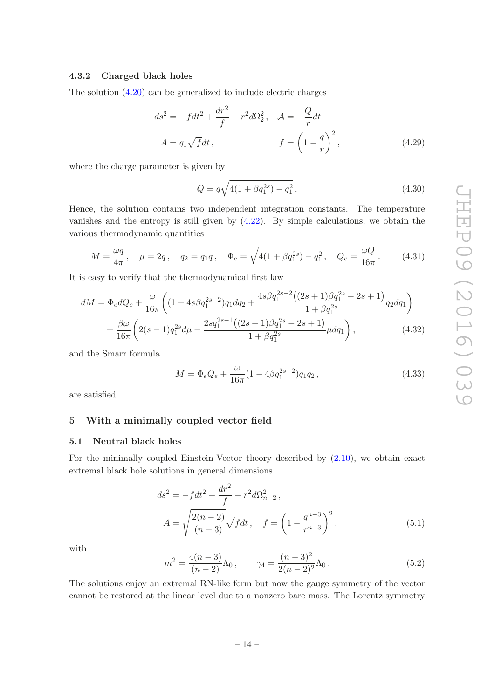# 4.3.2 Charged black holes

The solution [\(4.20\)](#page-13-1) can be generalized to include electric charges

$$
ds^{2} = -f dt^{2} + \frac{dr^{2}}{f} + r^{2} d\Omega_{2}^{2}, \quad \mathcal{A} = -\frac{Q}{r} dt
$$

$$
A = q_{1} \sqrt{f} dt, \qquad f = \left(1 - \frac{q}{r}\right)^{2}, \qquad (4.29)
$$

where the charge parameter is given by

$$
Q = q\sqrt{4(1 + \beta q_1^{2s}) - q_1^2}.
$$
\n(4.30)

Hence, the solution contains two independent integration constants. The temperature vanishes and the entropy is still given by  $(4.22)$ . By simple calculations, we obtain the various thermodynamic quantities

$$
M = \frac{\omega q}{4\pi}, \quad \mu = 2q, \quad q_2 = q_1 q, \quad \Phi_e = \sqrt{4(1 + \beta q_1^{2s}) - q_1^2}, \quad Q_e = \frac{\omega Q}{16\pi}.
$$
 (4.31)

It is easy to verify that the thermodynamical first law

$$
dM = \Phi_e dQ_e + \frac{\omega}{16\pi} \left( (1 - 4s\beta q_1^{2s-2}) q_1 dq_2 + \frac{4s\beta q_1^{2s-2} ((2s+1)\beta q_1^{2s} - 2s + 1)}{1 + \beta q_1^{2s}} q_2 dq_1 \right) + \frac{\beta \omega}{16\pi} \left( 2(s-1)q_1^{2s} d\mu - \frac{2sq_1^{2s-1} ((2s+1)\beta q_1^{2s} - 2s + 1)}{1 + \beta q_1^{2s}} \mu dq_1 \right),
$$
(4.32)

and the Smarr formula

$$
M = \Phi_e Q_e + \frac{\omega}{16\pi} (1 - 4\beta q_1^{2s-2}) q_1 q_2 , \qquad (4.33)
$$

<span id="page-14-0"></span>are satisfied.

# <span id="page-14-1"></span>5 With a minimally coupled vector field

#### 5.1 Neutral black holes

For the minimally coupled Einstein-Vector theory described by [\(2.10\)](#page-4-3), we obtain exact extremal black hole solutions in general dimensions

$$
ds^{2} = -fdt^{2} + \frac{dr^{2}}{f} + r^{2}d\Omega_{n-2}^{2},
$$
  

$$
A = \sqrt{\frac{2(n-2)}{(n-3)}}\sqrt{f}dt, \quad f = \left(1 - \frac{q^{n-3}}{r^{n-3}}\right)^{2},
$$
(5.1)

with

<span id="page-14-2"></span>
$$
m^{2} = \frac{4(n-3)}{(n-2)}\Lambda_{0}, \qquad \gamma_{4} = \frac{(n-3)^{2}}{2(n-2)^{2}}\Lambda_{0}.
$$
 (5.2)

The solutions enjoy an extremal RN-like form but now the gauge symmetry of the vector cannot be restored at the linear level due to a nonzero bare mass. The Lorentz symmetry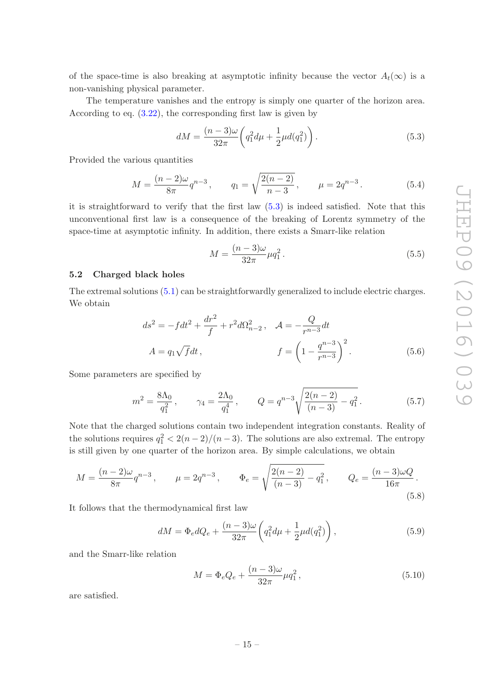of the space-time is also breaking at asymptotic infinity because the vector  $A_t(\infty)$  is a non-vanishing physical parameter.

The temperature vanishes and the entropy is simply one quarter of the horizon area. According to eq. [\(3.22\)](#page-9-1), the corresponding first law is given by

<span id="page-15-1"></span>
$$
dM = \frac{(n-3)\omega}{32\pi} \left( q_1^2 d\mu + \frac{1}{2}\mu d(q_1^2) \right).
$$
 (5.3)

Provided the various quantities

$$
M = \frac{(n-2)\omega}{8\pi}q^{n-3}, \qquad q_1 = \sqrt{\frac{2(n-2)}{n-3}}, \qquad \mu = 2q^{n-3}.
$$
 (5.4)

it is straightforward to verify that the first law [\(5.3\)](#page-15-1) is indeed satisfied. Note that this unconventional first law is a consequence of the breaking of Lorentz symmetry of the space-time at asymptotic infinity. In addition, there exists a Smarr-like relation

$$
M = \frac{(n-3)\omega}{32\pi} \mu q_1^2.
$$
\n(5.5)

#### <span id="page-15-0"></span>5.2 Charged black holes

The extremal solutions [\(5.1\)](#page-14-2) can be straightforwardly generalized to include electric charges. We obtain

$$
ds^{2} = -fdt^{2} + \frac{dr^{2}}{f} + r^{2}d\Omega_{n-2}^{2}, \quad \mathcal{A} = -\frac{Q}{r^{n-3}}dt
$$

$$
A = q_{1}\sqrt{f}dt, \qquad f = \left(1 - \frac{q^{n-3}}{r^{n-3}}\right)^{2}.
$$
(5.6)

Some parameters are specified by

$$
m^{2} = \frac{8\Lambda_{0}}{q_{1}^{2}}, \qquad \gamma_{4} = \frac{2\Lambda_{0}}{q_{1}^{4}}, \qquad Q = q^{n-3} \sqrt{\frac{2(n-2)}{(n-3)} - q_{1}^{2}}.
$$
 (5.7)

Note that the charged solutions contain two independent integration constants. Reality of the solutions requires  $q_1^2 < 2(n-2)/(n-3)$ . The solutions are also extremal. The entropy is still given by one quarter of the horizon area. By simple calculations, we obtain

$$
M = \frac{(n-2)\omega}{8\pi}q^{n-3}, \qquad \mu = 2q^{n-3}, \qquad \Phi_e = \sqrt{\frac{2(n-2)}{(n-3)} - q_1^2}, \qquad Q_e = \frac{(n-3)\omega Q}{16\pi}.
$$
\n(5.8)

It follows that the thermodynamical first law

$$
dM = \Phi_e dQ_e + \frac{(n-3)\omega}{32\pi} \left( q_1^2 d\mu + \frac{1}{2}\mu d(q_1^2) \right),\tag{5.9}
$$

and the Smarr-like relation

$$
M = \Phi_e Q_e + \frac{(n-3)\omega}{32\pi} \mu q_1^2, \qquad (5.10)
$$

are satisfied.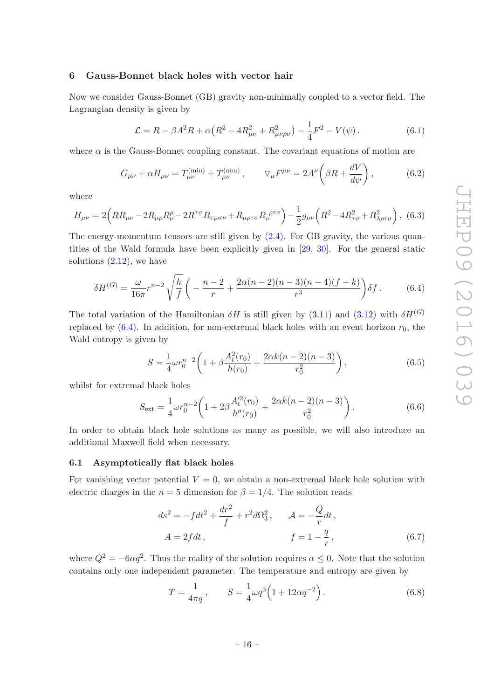### <span id="page-16-0"></span>6 Gauss-Bonnet black holes with vector hair

Now we consider Gauss-Bonnet (GB) gravity non-minimally coupled to a vector field. The Lagrangian density is given by

$$
\mathcal{L} = R - \beta A^2 R + \alpha (R^2 - 4R_{\mu\nu}^2 + R_{\mu\nu\rho\sigma}^2) - \frac{1}{4}F^2 - V(\psi). \tag{6.1}
$$

where  $\alpha$  is the Gauss-Bonnet coupling constant. The covariant equations of motion are

$$
G_{\mu\nu} + \alpha H_{\mu\nu} = T_{\mu\nu}^{(\text{min})} + T_{\mu\nu}^{(\text{non})}, \qquad \nabla_{\mu} F^{\mu\nu} = 2A^{\nu} \left( \beta R + \frac{dV}{d\psi} \right), \tag{6.2}
$$

where

$$
H_{\mu\nu} = 2\Big(RR_{\mu\nu} - 2R_{\mu\rho}R_{\nu}^{\rho} - 2R^{\tau\sigma}R_{\tau\mu\sigma\nu} + R_{\mu\rho\tau\sigma}R_{\nu}^{\ \rho\tau\sigma}\Big) - \frac{1}{2}g_{\mu\nu}\Big(R^2 - 4R_{\tau\sigma}^2 + R_{\lambda\rho\tau\sigma}^2\Big),
$$
 (6.3)

The energy-momentum tensors are still given by  $(2.4)$ . For GB gravity, the various quantities of the Wald formula have been explicitly given in [\[29](#page-25-11), [30\]](#page-25-12). For the general static solutions  $(2.12)$ , we have

<span id="page-16-2"></span>
$$
\delta H^{(G)} = \frac{\omega}{16\pi} r^{n-2} \sqrt{\frac{h}{f}} \left( -\frac{n-2}{r} + \frac{2\alpha(n-2)(n-3)(n-4)(f-k)}{r^3} \right) \delta f. \tag{6.4}
$$

The total variation of the Hamiltonian  $\delta H$  is still given by [\(3.11\)](#page-8-2) and [\(3.12\)](#page-8-3) with  $\delta H^{(G)}$ replaced by  $(6.4)$ . In addition, for non-extremal black holes with an event horizon  $r_0$ , the Wald entropy is given by

$$
S = \frac{1}{4}\omega r_0^{n-2} \left( 1 + \beta \frac{A_t^2(r_0)}{h(r_0)} + \frac{2\alpha k(n-2)(n-3)}{r_0^2} \right),\tag{6.5}
$$

whilst for extremal black holes

$$
S_{\text{ext}} = \frac{1}{4} \omega r_0^{n-2} \left( 1 + 2\beta \frac{A_t'^2(r_0)}{h''(r_0)} + \frac{2\alpha k(n-2)(n-3)}{r_0^2} \right). \tag{6.6}
$$

In order to obtain black hole solutions as many as possible, we will also introduce an additional Maxwell field when necessary.

#### <span id="page-16-1"></span>6.1 Asymptotically flat black holes

For vanishing vector potential  $V = 0$ , we obtain a non-extremal black hole solution with electric charges in the  $n = 5$  dimension for  $\beta = 1/4$ . The solution reads

$$
ds^{2} = -fdt^{2} + \frac{dr^{2}}{f} + r^{2}d\Omega_{3}^{2}, \qquad \mathcal{A} = -\frac{Q}{r}dt,
$$
  

$$
A = 2fdt, \qquad f = 1 - \frac{q}{r}, \qquad (6.7)
$$

where  $Q^2 = -6\alpha q^2$ . Thus the reality of the solution requires  $\alpha \leq 0$ . Note that the solution contains only one independent parameter. The temperature and entropy are given by

$$
T = \frac{1}{4\pi q}, \qquad S = \frac{1}{4}\omega q^3 \left(1 + 12\alpha q^{-2}\right). \tag{6.8}
$$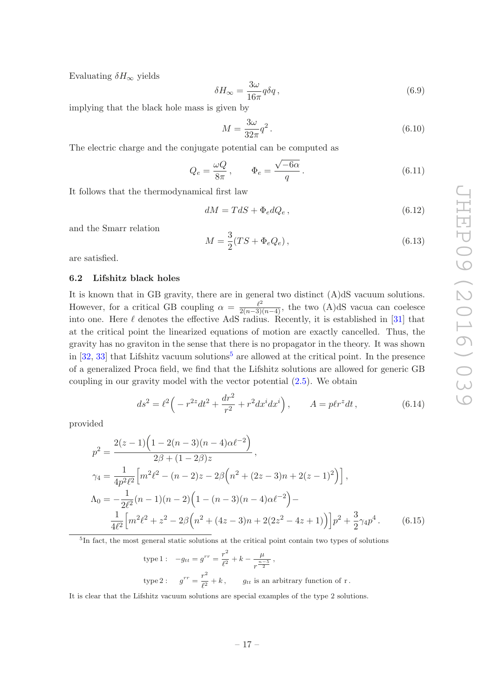Evaluating  $\delta H_{\infty}$  yields

$$
\delta H_{\infty} = \frac{3\omega}{16\pi} q \delta q, \qquad (6.9)
$$

implying that the black hole mass is given by

$$
M = \frac{3\omega}{32\pi}q^2.
$$
\n
$$
(6.10)
$$

The electric charge and the conjugate potential can be computed as

$$
Q_e = \frac{\omega Q}{8\pi}, \qquad \Phi_e = \frac{\sqrt{-6\alpha}}{q}.
$$
 (6.11)

It follows that the thermodynamical first law

$$
dM = TdS + \Phi_e dQ_e, \qquad (6.12)
$$

and the Smarr relation

$$
M = \frac{3}{2}(TS + \Phi_e Q_e),
$$
\n(6.13)

<span id="page-17-0"></span>are satisfied.

# 6.2 Lifshitz black holes

It is known that in GB gravity, there are in general two distinct (A)dS vacuum solutions. However, for a critical GB coupling  $\alpha = \frac{\ell^2}{2(n-3)(n-4)}$ , the two (A)dS vacua can coelesce into one. Here  $\ell$  denotes the effective AdS radius. Recently, it is established in [\[31\]](#page-25-13) that at the critical point the linearized equations of motion are exactly cancelled. Thus, the gravity has no graviton in the sense that there is no propagator in the theory. It was shown in  $[32, 33]$  $[32, 33]$  that Lifshitz vacuum solutions<sup>[5](#page-17-1)</sup> are allowed at the critical point. In the presence of a generalized Proca field, we find that the Lifshitz solutions are allowed for generic GB coupling in our gravity model with the vector potential [\(2.5\)](#page-3-5). We obtain

$$
ds^{2} = \ell^{2} \left( -r^{2z} dt^{2} + \frac{dr^{2}}{r^{2}} + r^{2} dx^{i} dx^{i} \right), \qquad A = p\ell r^{z} dt,
$$
\n(6.14)

provided

$$
p^{2} = \frac{2(z-1)\left(1 - 2(n-3)(n-4)\alpha\ell^{-2}\right)}{2\beta + (1-2\beta)z},
$$
  
\n
$$
\gamma_{4} = \frac{1}{4p^{2}\ell^{2}}\left[m^{2}\ell^{2} - (n-2)z - 2\beta\left(n^{2} + (2z-3)n + 2(z-1)^{2}\right)\right],
$$
  
\n
$$
\Lambda_{0} = -\frac{1}{2\ell^{2}}(n-1)(n-2)\left(1 - (n-3)(n-4)\alpha\ell^{-2}\right) - \frac{1}{4\ell^{2}}\left[m^{2}\ell^{2} + z^{2} - 2\beta\left(n^{2} + (4z-3)n + 2(2z^{2} - 4z + 1)\right)\right]p^{2} + \frac{3}{2}\gamma_{4}p^{4}.
$$
 (6.15)

<span id="page-17-1"></span><sup>5</sup>In fact, the most general static solutions at the critical point contain two types of solutions

type 1: 
$$
-g_{tt} = g^{rr} = \frac{r^2}{\ell^2} + k - \frac{\mu}{r^{\frac{n-5}{2}}},
$$
  
type 2: 
$$
g^{rr} = \frac{r^2}{\ell^2} + k, \qquad g_{tt} \text{ is an arbitrary function of } r.
$$

It is clear that the Lifshitz vacuum solutions are special examples of the type 2 solutions.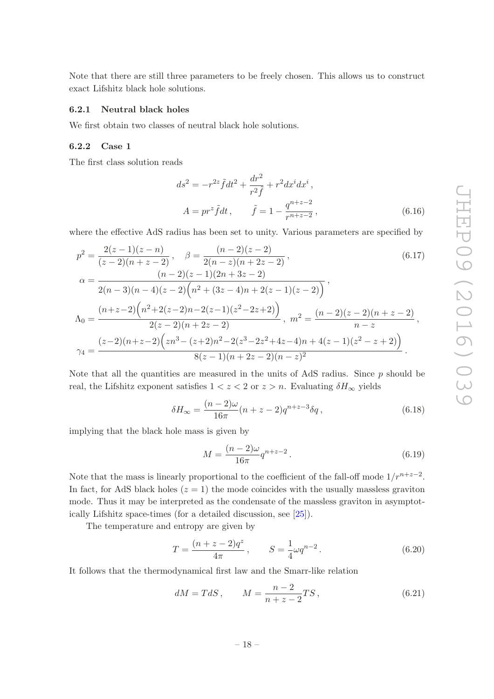Note that there are still three parameters to be freely chosen. This allows us to construct exact Lifshitz black hole solutions.

# 6.2.1 Neutral black holes

We first obtain two classes of neutral black hole solutions.

#### 6.2.2 Case 1

The first class solution reads

$$
ds^{2} = -r^{2z}\tilde{f}dt^{2} + \frac{dr^{2}}{r^{2}\tilde{f}} + r^{2}dx^{i}dx^{i},
$$
  

$$
A = pr^{z}\tilde{f}dt, \qquad \tilde{f} = 1 - \frac{q^{n+z-2}}{r^{n+z-2}},
$$
(6.16)

where the effective AdS radius has been set to unity. Various parameters are specified by

$$
p^{2} = \frac{2(z-1)(z-n)}{(z-2)(n+z-2)}, \quad \beta = \frac{(n-2)(z-2)}{2(n-z)(n+2z-2)},
$$
\n
$$
\alpha = \frac{(n-2)(z-1)(2n+3z-2)}{2(n-3)(n-4)(z-2)\left(n^{2}+(3z-4)n+2(z-1)(z-2)\right)},
$$
\n
$$
\Lambda_{0} = \frac{(n+z-2)\left(n^{2}+2(z-2)n-2(z-1)(z^{2}-2z+2)\right)}{2(z-2)(n+2z-2)}, \quad m^{2} = \frac{(n-2)(z-2)(n+z-2)}{n-z},
$$
\n
$$
\gamma_{4} = \frac{(z-2)(n+z-2)\left(zn^{3}-(z+2)n^{2}-2(z^{3}-2z^{2}+4z-4)n+4(z-1)(z^{2}-z+2)\right)}{8(z-1)(n+2z-2)(n-z)^{2}}.
$$
\n(A)

Note that all the quantities are measured in the units of AdS radius. Since  $p$  should be real, the Lifshitz exponent satisfies  $1 < z < 2$  or  $z > n$ . Evaluating  $\delta H_{\infty}$  yields

$$
\delta H_{\infty} = \frac{(n-2)\omega}{16\pi} (n+z-2) q^{n+z-3} \delta q, \qquad (6.18)
$$

implying that the black hole mass is given by

$$
M = \frac{(n-2)\omega}{16\pi} q^{n+z-2}.
$$
\n(6.19)

Note that the mass is linearly proportional to the coefficient of the fall-off mode  $1/r^{n+z-2}$ . In fact, for AdS black holes  $(z = 1)$  the mode coincides with the usually massless graviton mode. Thus it may be interpreted as the condensate of the massless graviton in asymptotically Lifshitz space-times (for a detailed discussion, see [\[25\]](#page-25-7)).

The temperature and entropy are given by

$$
T = \frac{(n+z-2)q^z}{4\pi}, \qquad S = \frac{1}{4}\omega q^{n-2}.
$$
 (6.20)

It follows that the thermodynamical first law and the Smarr-like relation

<span id="page-18-0"></span>
$$
dM = TdS, \qquad M = \frac{n-2}{n+z-2}TS,\tag{6.21}
$$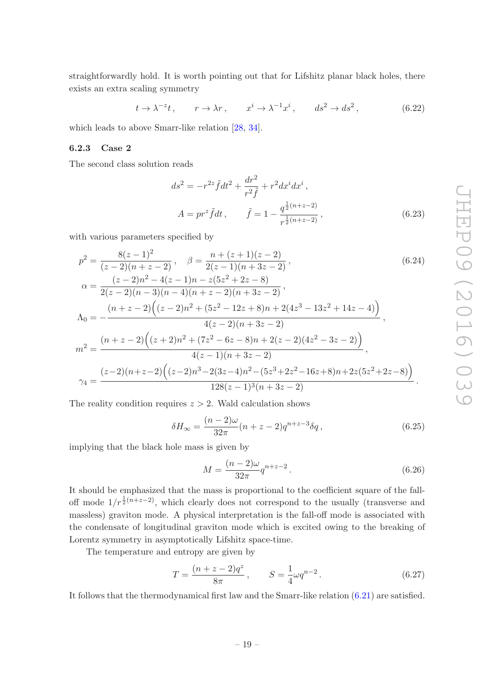straightforwardly hold. It is worth pointing out that for Lifshitz planar black holes, there exists an extra scaling symmetry

> $t \to \lambda^{-z}t$ ,  $r \to \lambda r$ ,  $x^i \to \lambda^{-1}x^i$ ,  $ds^2 \to ds^2$  $(6.22)$

which leads to above Smarr-like relation [\[28,](#page-25-10) [34](#page-25-16)].

# 6.2.3 Case 2

The second class solution reads

$$
ds^{2} = -r^{2z}\tilde{f}dt^{2} + \frac{dr^{2}}{r^{2}\tilde{f}} + r^{2}dx^{i}dx^{i},
$$
  
\n
$$
A = pr^{z}\tilde{f}dt, \qquad \tilde{f} = 1 - \frac{q^{\frac{1}{2}(n+z-2)}}{r^{\frac{1}{2}(n+z-2)}},
$$
\n(6.23)

with various parameters specified by

$$
p^{2} = \frac{8(z-1)^{2}}{(z-2)(n+z-2)}, \quad \beta = \frac{n+(z+1)(z-2)}{2(z-1)(n+3z-2)},
$$
\n
$$
\alpha = \frac{(z-2)n^{2}-4(z-1)n-z(5z^{2}+2z-8)}{2(z-2)(n-3)(n-4)(n+z-2)(n+3z-2)},
$$
\n
$$
\Lambda_{0} = -\frac{(n+z-2)\Big((z-2)n^{2}+(5z^{2}-12z+8)n+2(4z^{3}-13z^{2}+14z-4)\Big)}{4(z-2)(n+3z-2)},
$$
\n
$$
m^{2} = \frac{(n+z-2)\Big((z+2)n^{2}+(7z^{2}-6z-8)n+2(z-2)(4z^{2}-3z-2)\Big)}{4(z-1)(n+3z-2)},
$$
\n
$$
\gamma_{4} = \frac{(z-2)(n+z-2)\Big((z-2)n^{3}-2(3z-4)n^{2}-(5z^{3}+2z^{2}-16z+8)n+2z(5z^{2}+2z-8)\Big)}{128(z-1)^{3}(n+3z-2)}.
$$
\n(5.24)

The reality condition requires  $z > 2$ . Wald calculation shows

$$
\delta H_{\infty} = \frac{(n-2)\omega}{32\pi} (n+z-2) q^{n+z-3} \delta q , \qquad (6.25)
$$

implying that the black hole mass is given by

$$
M = \frac{(n-2)\omega}{32\pi} q^{n+z-2}.
$$
\n(6.26)

It should be emphasized that the mass is proportional to the coefficient square of the falloff mode  $1/r^{\frac{1}{2}(n+z-2)}$ , which clearly does not correspond to the usually (transverse and massless) graviton mode. A physical interpretation is the fall-off mode is associated with the condensate of longitudinal graviton mode which is excited owing to the breaking of Lorentz symmetry in asymptotically Lifshitz space-time.

The temperature and entropy are given by

$$
T = \frac{(n+z-2)q^z}{8\pi}, \qquad S = \frac{1}{4}\omega q^{n-2}.
$$
 (6.27)

It follows that the thermodynamical first law and the Smarr-like relation [\(6.21\)](#page-18-0) are satisfied.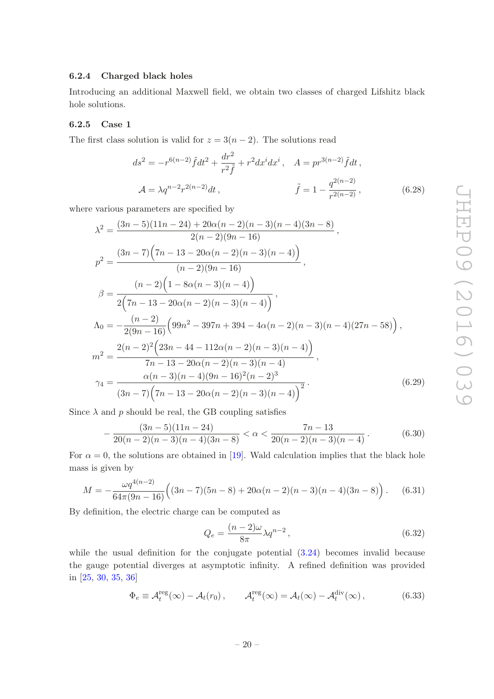# 6.2.4 Charged black holes

Introducing an additional Maxwell field, we obtain two classes of charged Lifshitz black hole solutions.

# 6.2.5 Case 1

The first class solution is valid for  $z = 3(n-2)$ . The solutions read

$$
ds^{2} = -r^{6(n-2)}\tilde{f}dt^{2} + \frac{dr^{2}}{r^{2}\tilde{f}} + r^{2}dx^{i}dx^{i}, \quad A = pr^{3(n-2)}\tilde{f}dt,
$$
  

$$
\mathcal{A} = \lambda q^{n-2}r^{2(n-2)}dt, \qquad \tilde{f} = 1 - \frac{q^{2(n-2)}}{r^{2(n-2)}},
$$
(6.28)

where various parameters are specified by

$$
\lambda^{2} = \frac{(3n-5)(11n-24) + 20\alpha(n-2)(n-3)(n-4)(3n-8)}{2(n-2)(9n-16)},
$$
  
\n
$$
p^{2} = \frac{(3n-7)(7n-13-20\alpha(n-2)(n-3)(n-4))}{(n-2)(9n-16)},
$$
  
\n
$$
\beta = \frac{(n-2)(1-8\alpha(n-3)(n-4))}{2(7n-13-20\alpha(n-2)(n-3)(n-4))},
$$
  
\n
$$
\Lambda_{0} = -\frac{(n-2)}{2(9n-16)}\left(99n^{2} - 397n + 394 - 4\alpha(n-2)(n-3)(n-4)(27n-58)\right),
$$
  
\n
$$
m^{2} = \frac{2(n-2)^{2}(23n-44-112\alpha(n-2)(n-3)(n-4))}{7n-13-20\alpha(n-2)(n-3)(n-4)},
$$
  
\n
$$
\gamma_{4} = \frac{\alpha(n-3)(n-4)(9n-16)^{2}(n-2)^{3}}{(3n-7)(7n-13-20\alpha(n-2)(n-3)(n-4))^{2}}.
$$
  
\n(6.29)

Since  $\lambda$  and  $p$  should be real, the GB coupling satisfies

$$
-\frac{(3n-5)(11n-24)}{20(n-2)(n-3)(n-4)(3n-8)} < \alpha < \frac{7n-13}{20(n-2)(n-3)(n-4)}.\tag{6.30}
$$

For  $\alpha = 0$ , the solutions are obtained in [\[19](#page-25-1)]. Wald calculation implies that the black hole mass is given by

$$
M = -\frac{\omega q^{4(n-2)}}{64\pi (9n-16)} \Big( (3n-7)(5n-8) + 20\alpha (n-2)(n-3)(n-4)(3n-8) \Big). \tag{6.31}
$$

By definition, the electric charge can be computed as

$$
Q_e = \frac{(n-2)\omega}{8\pi} \lambda q^{n-2},\qquad(6.32)
$$

while the usual definition for the conjugate potential  $(3.24)$  becomes invalid because the gauge potential diverges at asymptotic infinity. A refined definition was provided in [\[25](#page-25-7), [30,](#page-25-12) [35](#page-25-17), [36\]](#page-25-18)

$$
\Phi_e \equiv \mathcal{A}_t^{\text{reg}}(\infty) - \mathcal{A}_t(r_0), \qquad \mathcal{A}_t^{\text{reg}}(\infty) = \mathcal{A}_t(\infty) - \mathcal{A}_t^{\text{div}}(\infty), \tag{6.33}
$$

$$
-20-
$$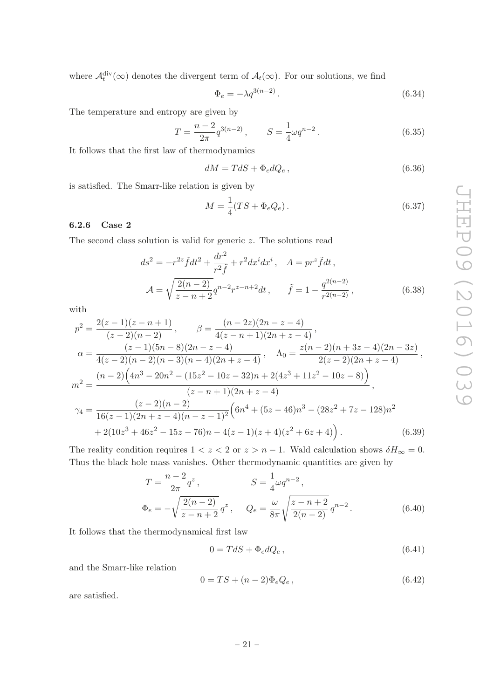where  $\mathcal{A}_t^{\text{div}}(\infty)$  denotes the divergent term of  $\mathcal{A}_t(\infty)$ . For our solutions, we find

$$
\Phi_e = -\lambda q^{3(n-2)}.
$$
\n(6.34)

The temperature and entropy are given by

$$
T = \frac{n-2}{2\pi} q^{3(n-2)}, \qquad S = \frac{1}{4} \omega q^{n-2}.
$$
 (6.35)

It follows that the first law of thermodynamics

$$
dM = TdS + \Phi_e dQ_e, \qquad (6.36)
$$

is satisfied. The Smarr-like relation is given by

$$
M = \frac{1}{4}(TS + \Phi_e Q_e).
$$
 (6.37)

# 6.2.6 Case 2

The second class solution is valid for generic z. The solutions read

$$
ds^{2} = -r^{2z}\tilde{f}dt^{2} + \frac{dr^{2}}{r^{2}\tilde{f}} + r^{2}dx^{i}dx^{i}, \quad A = pr^{z}\tilde{f}dt,
$$
  

$$
\mathcal{A} = \sqrt{\frac{2(n-2)}{z-n+2}}q^{n-2}r^{z-n+2}dt, \qquad \tilde{f} = 1 - \frac{q^{2(n-2)}}{r^{2(n-2)}},
$$
(6.38)

with

$$
p^{2} = \frac{2(z-1)(z-n+1)}{(z-2)(n-2)}, \qquad \beta = \frac{(n-2z)(2n-z-4)}{4(z-n+1)(2n+z-4)},
$$
  
\n
$$
\alpha = \frac{(z-1)(5n-8)(2n-z-4)}{4(z-2)(n-2)(n-3)(n-4)(2n+z-4)}, \qquad \Lambda_{0} = \frac{z(n-2)(n+3z-4)(2n-3z)}{2(z-2)(2n+z-4)},
$$
  
\n
$$
m^{2} = \frac{(n-2)\left(4n^{3}-20n^{2}-(15z^{2}-10z-32)n+2(4z^{3}+11z^{2}-10z-8)\right)}{(z-n+1)(2n+z-4)},
$$
  
\n
$$
\gamma_{4} = \frac{(z-2)(n-2)}{16(z-1)(2n+z-4)(n-z-1)^{2}}\left(6n^{4}+(5z-46)n^{3}-(28z^{2}+7z-128)n^{2} + 2(10z^{3}+46z^{2}-15z-76)n-4(z-1)(z+4)(z^{2}+6z+4)\right).
$$
 (6.39)

The reality condition requires  $1 < z < 2$  or  $z > n - 1$ . Wald calculation shows  $\delta H_{\infty} = 0$ . Thus the black hole mass vanishes. Other thermodynamic quantities are given by

$$
T = \frac{n-2}{2\pi} q^z, \qquad S = \frac{1}{4} \omega q^{n-2},
$$
  

$$
\Phi_e = -\sqrt{\frac{2(n-2)}{z-n+2}} q^z, \qquad Q_e = \frac{\omega}{8\pi} \sqrt{\frac{z-n+2}{2(n-2)}} q^{n-2}.
$$
 (6.40)

It follows that the thermodynamical first law

$$
0 = TdS + \Phi_e dQ_e, \qquad (6.41)
$$

and the Smarr-like relation

$$
0 = TS + (n - 2)\Phi_e Q_e, \qquad (6.42)
$$

are satisfied.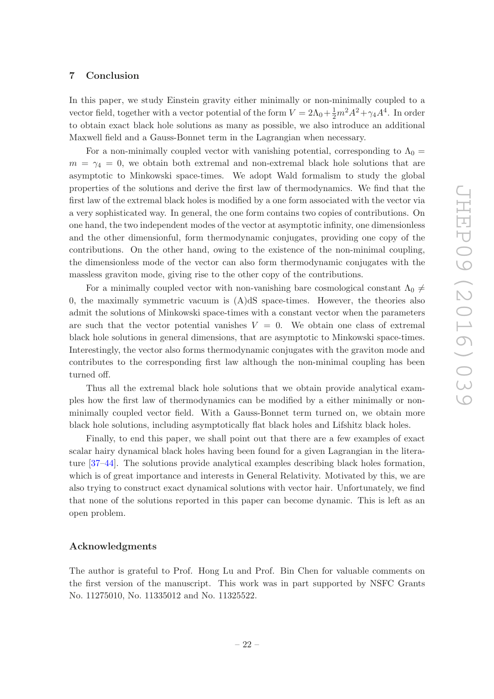# <span id="page-22-0"></span>7 Conclusion

In this paper, we study Einstein gravity either minimally or non-minimally coupled to a vector field, together with a vector potential of the form  $V = 2\Lambda_0 + \frac{1}{2}m^2A^2 + \gamma_4A^4$ . In order to obtain exact black hole solutions as many as possible, we also introduce an additional Maxwell field and a Gauss-Bonnet term in the Lagrangian when necessary.

For a non-minimally coupled vector with vanishing potential, corresponding to  $\Lambda_0 =$  $m = \gamma_4 = 0$ , we obtain both extremal and non-extremal black hole solutions that are asymptotic to Minkowski space-times. We adopt Wald formalism to study the global properties of the solutions and derive the first law of thermodynamics. We find that the first law of the extremal black holes is modified by a one form associated with the vector via a very sophisticated way. In general, the one form contains two copies of contributions. On one hand, the two independent modes of the vector at asymptotic infinity, one dimensionless and the other dimensionful, form thermodynamic conjugates, providing one copy of the contributions. On the other hand, owing to the existence of the non-minimal coupling, the dimensionless mode of the vector can also form thermodynamic conjugates with the massless graviton mode, giving rise to the other copy of the contributions.

For a minimally coupled vector with non-vanishing bare cosmological constant  $\Lambda_0 \neq$ 0, the maximally symmetric vacuum is (A)dS space-times. However, the theories also admit the solutions of Minkowski space-times with a constant vector when the parameters are such that the vector potential vanishes  $V = 0$ . We obtain one class of extremal black hole solutions in general dimensions, that are asymptotic to Minkowski space-times. Interestingly, the vector also forms thermodynamic conjugates with the graviton mode and contributes to the corresponding first law although the non-minimal coupling has been turned off.

Thus all the extremal black hole solutions that we obtain provide analytical examples how the first law of thermodynamics can be modified by a either minimally or nonminimally coupled vector field. With a Gauss-Bonnet term turned on, we obtain more black hole solutions, including asymptotically flat black holes and Lifshitz black holes.

Finally, to end this paper, we shall point out that there are a few examples of exact scalar hairy dynamical black holes having been found for a given Lagrangian in the literature [\[37](#page-26-0)[–44](#page-26-1)]. The solutions provide analytical examples describing black holes formation, which is of great importance and interests in General Relativity. Motivated by this, we are also trying to construct exact dynamical solutions with vector hair. Unfortunately, we find that none of the solutions reported in this paper can become dynamic. This is left as an open problem.

# Acknowledgments

The author is grateful to Prof. Hong Lu and Prof. Bin Chen for valuable comments on the first version of the manuscript. This work was in part supported by NSFC Grants No. 11275010, No. 11335012 and No. 11325522.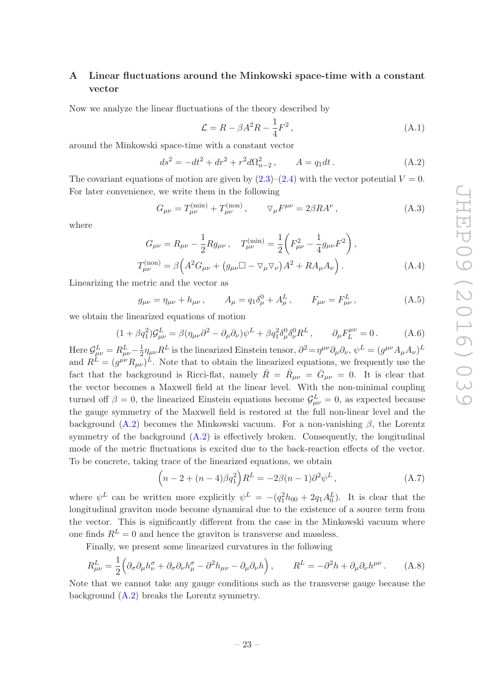# <span id="page-23-0"></span>A Linear fluctuations around the Minkowski space-time with a constant vector

Now we analyze the linear fluctuations of the theory described by

$$
\mathcal{L} = R - \beta A^2 R - \frac{1}{4} F^2, \qquad (A.1)
$$

around the Minkowski space-time with a constant vector

<span id="page-23-1"></span>
$$
ds^{2} = -dt^{2} + dr^{2} + r^{2}d\Omega_{n-2}^{2}, \qquad A = q_{1}dt.
$$
 (A.2)

The covariant equations of motion are given by  $(2.3)$ – $(2.4)$  with the vector potential  $V = 0$ . For later convenience, we write them in the following

$$
G_{\mu\nu} = T_{\mu\nu}^{(\text{min})} + T_{\mu\nu}^{(\text{non})}, \qquad \nabla_{\mu} F^{\mu\nu} = 2\beta R A^{\nu}, \qquad (A.3)
$$

where

$$
G_{\mu\nu} = R_{\mu\nu} - \frac{1}{2} R g_{\mu\nu} , \quad T_{\mu\nu}^{(\min)} = \frac{1}{2} \left( F_{\mu\nu}^2 - \frac{1}{4} g_{\mu\nu} F^2 \right) ,
$$
  

$$
T_{\mu\nu}^{(\text{non})} = \beta \left( A^2 G_{\mu\nu} + \left( g_{\mu\nu} \Box - \nabla_{\mu} \nabla_{\nu} \right) A^2 + R A_{\mu} A_{\nu} \right) .
$$
 (A.4)

Linearizing the metric and the vector as

$$
g_{\mu\nu} = \eta_{\mu\nu} + h_{\mu\nu} , \qquad A_{\mu} = q_1 \delta_{\mu}^0 + A_{\mu}^L , \qquad F_{\mu\nu} = F_{\mu\nu}^L , \qquad (A.5)
$$

we obtain the linearized equations of motion

$$
(1 + \beta q_1^2) \mathcal{G}^L_{\mu\nu} = \beta (\eta_{\mu\nu} \partial^2 - \partial_\mu \partial_\nu) \psi^L + \beta q_1^2 \delta^0_\mu \delta^0_\nu R^L, \qquad \partial_\mu F_L^{\mu\nu} = 0. \tag{A.6}
$$

Here  $\mathcal{G}_{\mu\nu}^{L}=R_{\mu\nu}^{L}-\frac{1}{2}$  $\frac{1}{2}\eta_{\mu\nu}R^L$  is the linearized Einstein tensor,  $\partial^2 = \eta^{\mu\nu}\partial_\mu\partial_\nu$ ,  $\psi^L = (g^{\mu\nu}A_\mu A_\nu)^L$ and  $R^L = (g^{\mu\nu}R_{\mu\nu})^L$ . Note that to obtain the linearized equations, we frequently use the fact that the background is Ricci-flat, namely  $\bar{R} = \bar{R}_{\mu\nu} = \bar{G}_{\mu\nu} = 0$ . It is clear that the vector becomes a Maxwell field at the linear level. With the non-minimal coupling turned off  $\beta = 0$ , the linearized Einstein equations become  $\mathcal{G}^L_{\mu\nu} = 0$ , as expected because the gauge symmetry of the Maxwell field is restored at the full non-linear level and the background [\(A.2\)](#page-23-1) becomes the Minkowski vacuum. For a non-vanishing  $\beta$ , the Lorentz symmetry of the background  $(A.2)$  is effectively broken. Consequently, the longitudinal mode of the metric fluctuations is excited due to the back-reaction effects of the vector. To be concrete, taking trace of the linearized equations, we obtain

$$
\left(n - 2 + (n - 4)\beta q_1^2\right) R^L = -2\beta(n - 1)\partial^2 \psi^L,
$$
\n(A.7)

where  $\psi^L$  can be written more explicitly  $\psi^L = -(q_1^2 h_{00} + 2q_1 A_0^L)$ . It is clear that the longitudinal graviton mode become dynamical due to the existence of a source term from the vector. This is significantly different from the case in the Minkowski vacuum where one finds  $R^L = 0$  and hence the graviton is transverse and massless.

Finally, we present some linearized curvatures in the following

$$
R_{\mu\nu}^{L} = \frac{1}{2} \Big( \partial_{\sigma} \partial_{\mu} h_{\nu}^{\sigma} + \partial_{\sigma} \partial_{\nu} h_{\mu}^{\sigma} - \partial^{2} h_{\mu\nu} - \partial_{\mu} \partial_{\nu} h \Big) , \qquad R^{L} = -\partial^{2} h + \partial_{\mu} \partial_{\nu} h^{\mu\nu} . \tag{A.8}
$$

Note that we cannot take any gauge conditions such as the transverse gauge because the background [\(A.2\)](#page-23-1) breaks the Lorentz symmetry.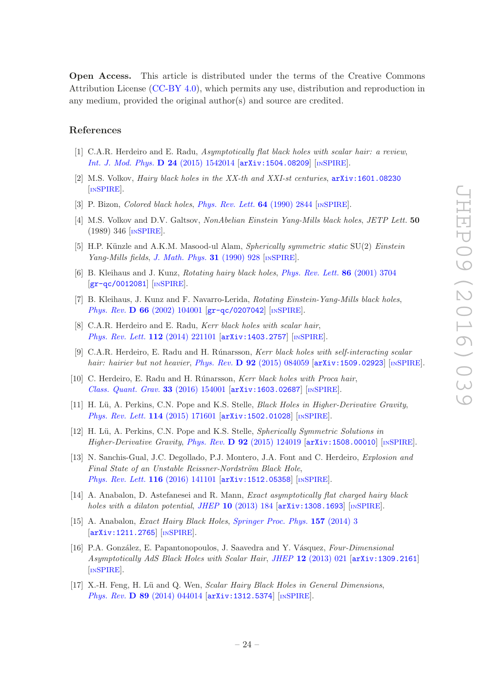Open Access. This article is distributed under the terms of the Creative Commons Attribution License [\(CC-BY 4.0\)](http://creativecommons.org/licenses/by/4.0/), which permits any use, distribution and reproduction in any medium, provided the original author(s) and source are credited.

# References

- <span id="page-24-0"></span>[1] C.A.R. Herdeiro and E. Radu, *Asymptotically flat black holes with scalar hair: a review*, *[Int. J. Mod. Phys.](http://dx.doi.org/10.1142/S0218271815420146)* **D 24** (2015) 1542014 [[arXiv:1504.08209](http://arxiv.org/abs/1504.08209)] [IN[SPIRE](http://inspirehep.net/search?p=find+EPRINT+arXiv:1504.08209)].
- <span id="page-24-1"></span>[2] M.S. Volkov, *Hairy black holes in the XX-th and XXI-st centuries*, [arXiv:1601.08230](http://arxiv.org/abs/1601.08230) [IN[SPIRE](http://inspirehep.net/search?p=find+EPRINT+arXiv:1601.08230)].
- <span id="page-24-2"></span>[3] P. Bizon, *Colored black holes*, *[Phys. Rev. Lett.](http://dx.doi.org/10.1103/PhysRevLett.64.2844)* 64 (1990) 2844 [IN[SPIRE](http://inspirehep.net/search?p=find+J+%22Phys.Rev.Lett.,64,2844%22)].
- [4] M.S. Volkov and D.V. Galtsov, *NonAbelian Einstein Yang-Mills black holes*, *JETP Lett.* 50 (1989) 346 [IN[SPIRE](http://inspirehep.net/search?p=find+J+%22JETPLett.,50,346%22)].
- <span id="page-24-3"></span>[5] H.P. Künzle and A.K.M. Masood-ul Alam, *Spherically symmetric static* SU(2) *Einstein Yang-Mills fields*, *[J. Math. Phys.](http://dx.doi.org/10.1063/1.528773)* 31 (1990) 928 [IN[SPIRE](http://inspirehep.net/search?p=find+J+%22J.Math.Phys.,31,928%22)].
- <span id="page-24-4"></span>[6] B. Kleihaus and J. Kunz, *Rotating hairy black holes*, *[Phys. Rev. Lett.](http://dx.doi.org/10.1103/PhysRevLett.86.3704)* 86 (2001) 3704 [[gr-qc/0012081](http://arxiv.org/abs/gr-qc/0012081)] [IN[SPIRE](http://inspirehep.net/search?p=find+EPRINT+gr-qc/0012081)].
- <span id="page-24-5"></span>[7] B. Kleihaus, J. Kunz and F. Navarro-Lerida, *Rotating Einstein-Yang-Mills black holes*, *Phys. Rev.* **D 66** [\(2002\) 104001](http://dx.doi.org/10.1103/PhysRevD.66.104001) [[gr-qc/0207042](http://arxiv.org/abs/gr-qc/0207042)] [IN[SPIRE](http://inspirehep.net/search?p=find+EPRINT+gr-qc/0207042)].
- <span id="page-24-6"></span>[8] C.A.R. Herdeiro and E. Radu, *Kerr black holes with scalar hair*, *[Phys. Rev. Lett.](http://dx.doi.org/10.1103/PhysRevLett.112.221101)* **112** (2014) 221101 [[arXiv:1403.2757](http://arxiv.org/abs/1403.2757)] [IN[SPIRE](http://inspirehep.net/search?p=find+EPRINT+arXiv:1403.2757)].
- <span id="page-24-7"></span>[9] C.A.R. Herdeiro, E. Radu and H. R´unarsson, *Kerr black holes with self-interacting scalar hair: hairier but not heavier*, *Phys. Rev.* D 92 [\(2015\) 084059](http://dx.doi.org/10.1103/PhysRevD.92.084059) [[arXiv:1509.02923](http://arxiv.org/abs/1509.02923)] [IN[SPIRE](http://inspirehep.net/search?p=find+EPRINT+arXiv:1509.02923)].
- <span id="page-24-8"></span>[10] C. Herdeiro, E. Radu and H. Rúnarsson, *Kerr black holes with Proca hair*, *[Class. Quant. Grav.](http://dx.doi.org/10.1088/0264-9381/33/15/154001)* 33 (2016) 154001 [[arXiv:1603.02687](http://arxiv.org/abs/1603.02687)] [IN[SPIRE](http://inspirehep.net/search?p=find+EPRINT+arXiv:1603.02687)].
- <span id="page-24-9"></span>[11] H. L¨u, A. Perkins, C.N. Pope and K.S. Stelle, *Black Holes in Higher-Derivative Gravity*, *[Phys. Rev. Lett.](http://dx.doi.org/10.1103/PhysRevLett.114.171601)* 114 (2015) 171601 [[arXiv:1502.01028](http://arxiv.org/abs/1502.01028)] [IN[SPIRE](http://inspirehep.net/search?p=find+EPRINT+arXiv:1502.01028)].
- <span id="page-24-10"></span>[12] H. L¨u, A. Perkins, C.N. Pope and K.S. Stelle, *Spherically Symmetric Solutions in Higher-Derivative Gravity*, *Phys. Rev.* D 92 [\(2015\) 124019](http://dx.doi.org/10.1103/PhysRevD.92.124019) [[arXiv:1508.00010](http://arxiv.org/abs/1508.00010)] [IN[SPIRE](http://inspirehep.net/search?p=find+EPRINT+arXiv:1508.00010)].
- <span id="page-24-12"></span>[13] N. Sanchis-Gual, J.C. Degollado, P.J. Montero, J.A. Font and C. Herdeiro, *Explosion and Final State of an Unstable Reissner-Nordström Black Hole*, *[Phys. Rev. Lett.](http://dx.doi.org/10.1103/PhysRevLett.116.141101)* **116** (2016) 141101 [[arXiv:1512.05358](http://arxiv.org/abs/1512.05358)] [IN[SPIRE](http://inspirehep.net/search?p=find+EPRINT+arXiv:1512.05358)].
- <span id="page-24-11"></span>[14] A. Anabalon, D. Astefanesei and R. Mann, *Exact asymptotically flat charged hairy black holes with a dilaton potential, JHEP* 10 [\(2013\) 184](http://dx.doi.org/10.1007/JHEP10(2013)184) [[arXiv:1308.1693](http://arxiv.org/abs/1308.1693)] [IN[SPIRE](http://inspirehep.net/search?p=find+EPRINT+arXiv:1308.1693)].
- [15] A. Anabalon, *Exact Hairy Black Holes*, *[Springer Proc. Phys.](http://dx.doi.org/10.1007/978-3-319-06761-2_1)* 157 (2014) 3 [[arXiv:1211.2765](http://arxiv.org/abs/1211.2765)] [IN[SPIRE](http://inspirehep.net/search?p=find+EPRINT+arXiv:1211.2765)].
- [16] P.A. Gonz´alez, E. Papantonopoulos, J. Saavedra and Y. V´asquez, *Four-Dimensional Asymptotically AdS Black Holes with Scalar Hair*, *JHEP* 12 [\(2013\) 021](http://dx.doi.org/10.1007/JHEP12(2013)021) [[arXiv:1309.2161](http://arxiv.org/abs/1309.2161)] [IN[SPIRE](http://inspirehep.net/search?p=find+EPRINT+arXiv:1309.2161)].
- [17] X.-H. Feng, H. L¨u and Q. Wen, *Scalar Hairy Black Holes in General Dimensions*, *Phys. Rev.* D 89 [\(2014\) 044014](http://dx.doi.org/10.1103/PhysRevD.89.044014) [[arXiv:1312.5374](http://arxiv.org/abs/1312.5374)] [IN[SPIRE](http://inspirehep.net/search?p=find+EPRINT+arXiv:1312.5374)].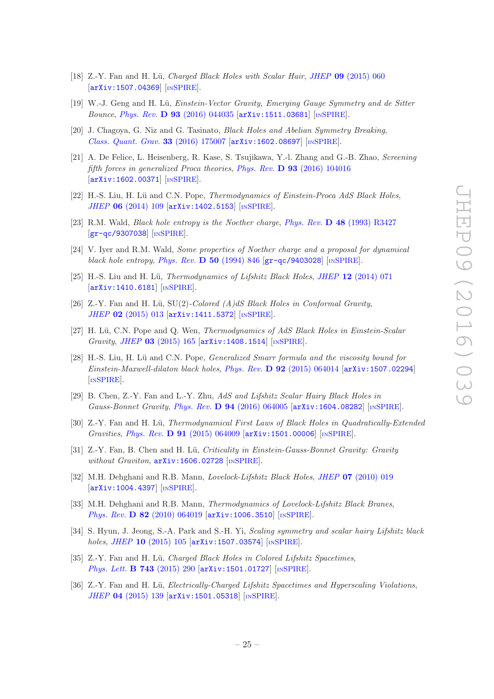- <span id="page-25-0"></span>[18] Z.-Y. Fan and H. L¨u, *Charged Black Holes with Scalar Hair*, *JHEP* 09 [\(2015\) 060](http://dx.doi.org/10.1007/JHEP09(2015)060) [[arXiv:1507.04369](http://arxiv.org/abs/1507.04369)] [IN[SPIRE](http://inspirehep.net/search?p=find+EPRINT+arXiv:1507.04369)].
- <span id="page-25-1"></span>[19] W.-J. Geng and H. L¨u, *Einstein-Vector Gravity, Emerging Gauge Symmetry and de Sitter Bounce*, *Phys. Rev.* **D 93** [\(2016\) 044035](http://dx.doi.org/10.1103/PhysRevD.93.044035) [[arXiv:1511.03681](http://arxiv.org/abs/1511.03681)] [IN[SPIRE](http://inspirehep.net/search?p=find+EPRINT+arXiv:1511.03681)].
- <span id="page-25-2"></span>[20] J. Chagoya, G. Niz and G. Tasinato, *Black Holes and Abelian Symmetry Breaking*, *[Class. Quant. Grav.](http://dx.doi.org/10.1088/0264-9381/33/17/175007)* **33** (2016) 175007 [[arXiv:1602.08697](http://arxiv.org/abs/1602.08697)] [IN[SPIRE](http://inspirehep.net/search?p=find+EPRINT+arXiv:1602.08697)].
- <span id="page-25-3"></span>[21] A. De Felice, L. Heisenberg, R. Kase, S. Tsujikawa, Y.-l. Zhang and G.-B. Zhao, *Screening fifth forces in generalized Proca theories*, *Phys. Rev.* D 93 [\(2016\) 104016](http://dx.doi.org/10.1103/PhysRevD.93.104016) [[arXiv:1602.00371](http://arxiv.org/abs/1602.00371)] [IN[SPIRE](http://inspirehep.net/search?p=find+EPRINT+arXiv:1602.00371)].
- <span id="page-25-4"></span>[22] H.-S. Liu, H. L¨u and C.N. Pope, *Thermodynamics of Einstein-Proca AdS Black Holes*, *JHEP* 06 [\(2014\) 109](http://dx.doi.org/10.1007/JHEP06(2014)109) [[arXiv:1402.5153](http://arxiv.org/abs/1402.5153)] [IN[SPIRE](http://inspirehep.net/search?p=find+EPRINT+arXiv:1402.5153)].
- <span id="page-25-5"></span>[23] R.M. Wald, *Black hole entropy is the Noether charge*, *Phys. Rev.* D 48 [\(1993\) R3427](http://dx.doi.org/10.1103/PhysRevD.48.R3427) [[gr-qc/9307038](http://arxiv.org/abs/gr-qc/9307038)] [IN[SPIRE](http://inspirehep.net/search?p=find+EPRINT+gr-qc/9307038)].
- <span id="page-25-6"></span>[24] V. Iyer and R.M. Wald, *Some properties of Noether charge and a proposal for dynamical black hole entropy*, *[Phys. Rev.](http://dx.doi.org/10.1103/PhysRevD.50.846)* D 50 (1994) 846 [[gr-qc/9403028](http://arxiv.org/abs/gr-qc/9403028)] [IN[SPIRE](http://inspirehep.net/search?p=find+EPRINT+gr-qc/9403028)].
- <span id="page-25-7"></span>[25] H.-S. Liu and H. L¨u, *Thermodynamics of Lifshitz Black Holes*, *JHEP* 12 [\(2014\) 071](http://dx.doi.org/10.1007/JHEP12(2014)071) [[arXiv:1410.6181](http://arxiv.org/abs/1410.6181)] [IN[SPIRE](http://inspirehep.net/search?p=find+J+%22JHEP,1412,071%22)].
- <span id="page-25-8"></span>[26] Z.-Y. Fan and H. Lü, SU(2)-Colored (A)dS Black Holes in Conformal Gravity, *JHEP* 02 [\(2015\) 013](http://dx.doi.org/10.1007/JHEP02(2015)013) [[arXiv:1411.5372](http://arxiv.org/abs/1411.5372)] [IN[SPIRE](http://inspirehep.net/search?p=find+EPRINT+arXiv:1411.5372)].
- <span id="page-25-9"></span>[27] H. L¨u, C.N. Pope and Q. Wen, *Thermodynamics of AdS Black Holes in Einstein-Scalar Gravity*, *JHEP* 03 [\(2015\) 165](http://dx.doi.org/10.1007/JHEP03(2015)165) [[arXiv:1408.1514](http://arxiv.org/abs/1408.1514)] [IN[SPIRE](http://inspirehep.net/search?p=find+EPRINT+arXiv:1408.1514)].
- <span id="page-25-10"></span>[28] H.-S. Liu, H. Lü and C.N. Pope, *Generalized Smarr formula and the viscosity bound for Einstein-Maxwell-dilaton black holes*, *Phys. Rev.* D 92 [\(2015\) 064014](http://dx.doi.org/10.1103/PhysRevD.92.064014) [[arXiv:1507.02294](http://arxiv.org/abs/1507.02294)] [IN[SPIRE](http://inspirehep.net/search?p=find+EPRINT+arXiv:1507.02294)].
- <span id="page-25-11"></span>[29] B. Chen, Z.-Y. Fan and L.-Y. Zhu, *AdS and Lifshitz Scalar Hairy Black Holes in Gauss-Bonnet Gravity, Phys. Rev.* **D 94** [\(2016\) 064005](http://dx.doi.org/10.1103/PhysRevD.94.064005) [[arXiv:1604.08282](http://arxiv.org/abs/1604.08282)] [IN[SPIRE](http://inspirehep.net/search?p=find+EPRINT+arXiv:1604.08282)].
- <span id="page-25-12"></span>[30] Z.-Y. Fan and H. Lü, *Thermodynamical First Laws of Black Holes in Quadratically-Extended Gravities*, *Phys. Rev.* D 91 [\(2015\) 064009](http://dx.doi.org/10.1103/PhysRevD.91.064009) [[arXiv:1501.00006](http://arxiv.org/abs/1501.00006)] [IN[SPIRE](http://inspirehep.net/search?p=find+EPRINT+arXiv:1501.00006)].
- <span id="page-25-13"></span>[31] Z.-Y. Fan, B. Chen and H. Lü, *Criticality in Einstein-Gauss-Bonnet Gravity: Gravity without Graviton*, [arXiv:1606.02728](http://arxiv.org/abs/1606.02728) [IN[SPIRE](http://inspirehep.net/search?p=find+EPRINT+arXiv:1606.02728)].
- <span id="page-25-14"></span>[32] M.H. Dehghani and R.B. Mann, *Lovelock-Lifshitz Black Holes*, *JHEP* 07 [\(2010\) 019](http://dx.doi.org/10.1007/JHEP07(2010)019) [[arXiv:1004.4397](http://arxiv.org/abs/1004.4397)] [IN[SPIRE](http://inspirehep.net/search?p=find+EPRINT+arXiv:1004.4397)].
- <span id="page-25-15"></span>[33] M.H. Dehghani and R.B. Mann, *Thermodynamics of Lovelock-Lifshitz Black Branes*, *Phys. Rev.* **D 82** [\(2010\) 064019](http://dx.doi.org/10.1103/PhysRevD.82.064019) [[arXiv:1006.3510](http://arxiv.org/abs/1006.3510)] [IN[SPIRE](http://inspirehep.net/search?p=find+EPRINT+arXiv:1006.3510)].
- <span id="page-25-16"></span>[34] S. Hyun, J. Jeong, S.-A. Park and S.-H. Yi, *Scaling symmetry and scalar hairy Lifshitz black holes*, *JHEP* 10 [\(2015\) 105](http://dx.doi.org/10.1007/JHEP10(2015)105) [[arXiv:1507.03574](http://arxiv.org/abs/1507.03574)] [IN[SPIRE](http://inspirehep.net/search?p=find+EPRINT+arXiv:1507.03574)].
- <span id="page-25-17"></span>[35] Z.-Y. Fan and H. Lü, *Charged Black Holes in Colored Lifshitz Spacetimes*, *[Phys. Lett.](http://dx.doi.org/10.1016/j.physletb.2015.02.052)* B 743 (2015) 290 [[arXiv:1501.01727](http://arxiv.org/abs/1501.01727)] [IN[SPIRE](http://inspirehep.net/search?p=find+EPRINT+arXiv:1501.01727)].
- <span id="page-25-18"></span>[36] Z.-Y. Fan and H. Lü, *Electrically-Charged Lifshitz Spacetimes and Hyperscaling Violations*, *JHEP* 04 [\(2015\) 139](http://dx.doi.org/10.1007/JHEP04(2015)139) [[arXiv:1501.05318](http://arxiv.org/abs/1501.05318)] [IN[SPIRE](http://inspirehep.net/search?p=find+EPRINT+arXiv:1501.05318)].